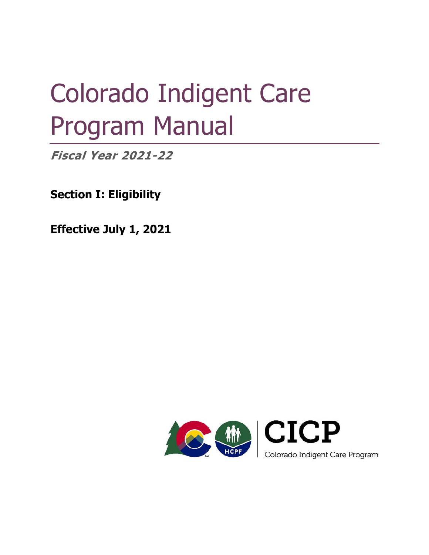# Colorado Indigent Care Program Manual

**Fiscal Year 2021-22** 

**Section I: Eligibility** 

**Effective July 1, 2021** 

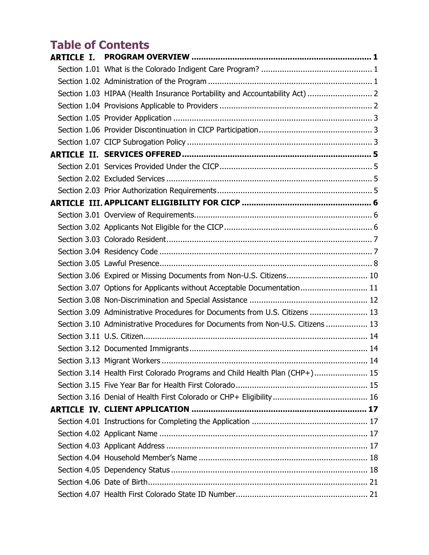# **Table of Contents**

| Section 1.03 HIPAA (Health Insurance Portability and Accountability Act)  2     |
|---------------------------------------------------------------------------------|
|                                                                                 |
|                                                                                 |
|                                                                                 |
|                                                                                 |
|                                                                                 |
|                                                                                 |
|                                                                                 |
|                                                                                 |
|                                                                                 |
|                                                                                 |
|                                                                                 |
|                                                                                 |
|                                                                                 |
|                                                                                 |
| Section 3.06 Expired or Missing Documents from Non-U.S. Citizens 10             |
| Section 3.07 Options for Applicants without Acceptable Documentation 11         |
|                                                                                 |
| Section 3.09 Administrative Procedures for Documents from U.S. Citizens  13     |
| Section 3.10 Administrative Procedures for Documents from Non-U.S. Citizens  13 |
|                                                                                 |
|                                                                                 |
|                                                                                 |
| Section 3.14 Health First Colorado Programs and Child Health Plan (CHP+) 15     |
|                                                                                 |
|                                                                                 |
|                                                                                 |
|                                                                                 |
|                                                                                 |
|                                                                                 |
|                                                                                 |
|                                                                                 |
|                                                                                 |
|                                                                                 |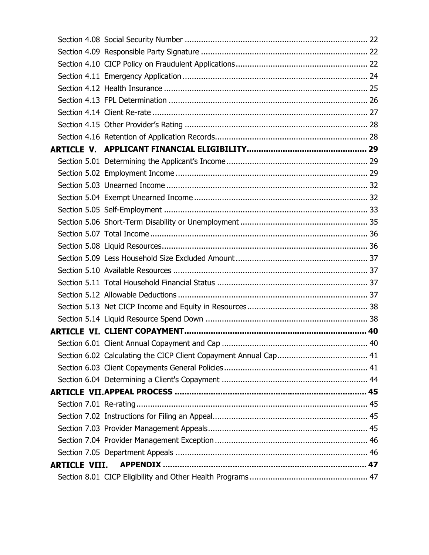| <b>ARTICLE VIII.</b> |  |
|----------------------|--|
|                      |  |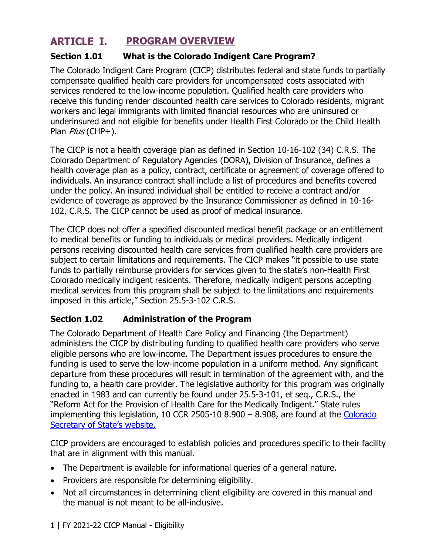#### **ARTICLE I. PROGRAM OVERVIEW**

#### **Section 1.01 What is the Colorado Indigent Care Program?**

The Colorado Indigent Care Program (CICP) distributes federal and state funds to partially compensate qualified health care providers for uncompensated costs associated with services rendered to the low-income population. Qualified health care providers who receive this funding render discounted health care services to Colorado residents, migrant workers and legal immigrants with limited financial resources who are uninsured or underinsured and not eligible for benefits under Health First Colorado or the Child Health Plan *Plus* (CHP+).

The CICP is not a health coverage plan as defined in Section 10-16-102 (34) C.R.S. The Colorado Department of Regulatory Agencies (DORA), Division of Insurance, defines a health coverage plan as a policy, contract, certificate or agreement of coverage offered to individuals. An insurance contract shall include a list of procedures and benefits covered under the policy. An insured individual shall be entitled to receive a contract and/or evidence of coverage as approved by the Insurance Commissioner as defined in 10-16- 102, C.R.S. The CICP cannot be used as proof of medical insurance.

The CICP does not offer a specified discounted medical benefit package or an entitlement to medical benefits or funding to individuals or medical providers. Medically indigent persons receiving discounted health care services from qualified health care providers are subject to certain limitations and requirements. The CICP makes "it possible to use state funds to partially reimburse providers for services given to the state's non-Health First Colorado medically indigent residents. Therefore, medically indigent persons accepting medical services from this program shall be subject to the limitations and requirements imposed in this article," Section 25.5-3-102 C.R.S.

#### **Section 1.02 Administration of the Program**

 funding is used to serve the low-income population in a uniform method. Any significant "Reform Act for the Provision of Health Care for the Medically Indigent." State rules The Colorado Department of Health Care Policy and Financing (the Department) administers the CICP by distributing funding to qualified health care providers who serve eligible persons who are low-income. The Department issues procedures to ensure the departure from these procedures will result in termination of the agreement with, and the funding to, a health care provider. The legislative authority for this program was originally enacted in 1983 and can currently be found under 25.5-3-101, et seq., C.R.S., the implementing this legislation, 10 CCR 2505-10 8.900 - 8.908, are found at the Colorado Secretary of State's website.

CICP providers are encouraged to establish policies and procedures specific to their facility that are in alignment with this manual.

- The Department is available for informational queries of a general nature.
- Providers are responsible for determining eligibility.
- Not all circumstances in determining client eligibility are covered in this manual and the manual is not meant to be all-inclusive.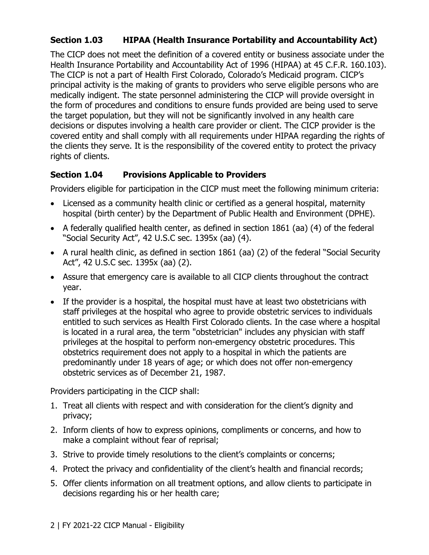#### **Section 1.03 HIPAA (Health Insurance Portability and Accountability Act)**

 principal activity is the making of grants to providers who serve eligible persons who are covered entity and shall comply with all requirements under HIPAA regarding the rights of The CICP does not meet the definition of a covered entity or business associate under the Health Insurance Portability and Accountability Act of 1996 (HIPAA) at 45 C.F.R. 160.103). The CICP is not a part of Health First Colorado, Colorado's Medicaid program. CICP's medically indigent. The state personnel administering the CICP will provide oversight in the form of procedures and conditions to ensure funds provided are being used to serve the target population, but they will not be significantly involved in any health care decisions or disputes involving a health care provider or client. The CICP provider is the the clients they serve. It is the responsibility of the covered entity to protect the privacy rights of clients.

#### **Section 1.04 Provisions Applicable to Providers**

Providers eligible for participation in the CICP must meet the following minimum criteria:

- Licensed as a community health clinic or certified as a general hospital, maternity hospital (birth center) by the Department of Public Health and Environment (DPHE).
- A federally qualified health center, as defined in section 1861 (aa) (4) of the federal "Social Security Act", 42 U.S.C sec. 1395x (aa) (4).
- A rural health clinic, as defined in section 1861 (aa) (2) of the federal "Social Security Act", 42 U.S.C sec. 1395x (aa) (2).
- Assure that emergency care is available to all CICP clients throughout the contract year.
- is located in a rural area, the term "obstetrician" includes any physician with staff If the provider is a hospital, the hospital must have at least two obstetricians with staff privileges at the hospital who agree to provide obstetric services to individuals entitled to such services as Health First Colorado clients. In the case where a hospital privileges at the hospital to perform non-emergency obstetric procedures. This obstetrics requirement does not apply to a hospital in which the patients are predominantly under 18 years of age; or which does not offer non-emergency obstetric services as of December 21, 1987.

Providers participating in the CICP shall:

- 1. Treat all clients with respect and with consideration for the client's dignity and privacy;
- make a complaint without fear of reprisal; 2. Inform clients of how to express opinions, compliments or concerns, and how to
- 3. Strive to provide timely resolutions to the client's complaints or concerns;
- 4. Protect the privacy and confidentiality of the client's health and financial records;
- 5. Offer clients information on all treatment options, and allow clients to participate in decisions regarding his or her health care;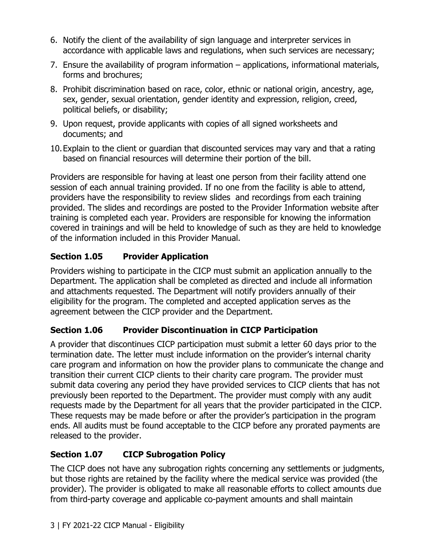- 6. Notify the client of the availability of sign language and interpreter services in accordance with applicable laws and regulations, when such services are necessary;
- 7. Ensure the availability of program information applications, informational materials, forms and brochures;
- 8. Prohibit discrimination based on race, color, ethnic or national origin, ancestry, age, sex, gender, sexual orientation, gender identity and expression, religion, creed, political beliefs, or disability;
- 9. Upon request, provide applicants with copies of all signed worksheets and documents; and
- 10.Explain to the client or guardian that discounted services may vary and that a rating based on financial resources will determine their portion of the bill.

 covered in trainings and will be held to knowledge of such as they are held to knowledge of the information included in this Provider Manual. Providers are responsible for having at least one person from their facility attend one session of each annual training provided. If no one from the facility is able to attend, providers have the responsibility to review slides and recordings from each training provided. The slides and recordings are posted to the Provider Information website after training is completed each year. Providers are responsible for knowing the information

### **Section 1.05 Provider Application**

 and attachments requested. The Department will notify providers annually of their Providers wishing to participate in the CICP must submit an application annually to the Department. The application shall be completed as directed and include all information eligibility for the program. The completed and accepted application serves as the agreement between the CICP provider and the Department.

#### **Section 1.06 Provider Discontinuation in CICP Participation**

 requests made by the Department for all years that the provider participated in the CICP. A provider that discontinues CICP participation must submit a letter 60 days prior to the termination date. The letter must include information on the provider's internal charity care program and information on how the provider plans to communicate the change and transition their current CICP clients to their charity care program. The provider must submit data covering any period they have provided services to CICP clients that has not previously been reported to the Department. The provider must comply with any audit These requests may be made before or after the provider's participation in the program ends. All audits must be found acceptable to the CICP before any prorated payments are released to the provider.

#### **Section 1.07 CICP Subrogation Policy**

The CICP does not have any subrogation rights concerning any settlements or judgments, but those rights are retained by the facility where the medical service was provided (the provider). The provider is obligated to make all reasonable efforts to collect amounts due from third-party coverage and applicable co-payment amounts and shall maintain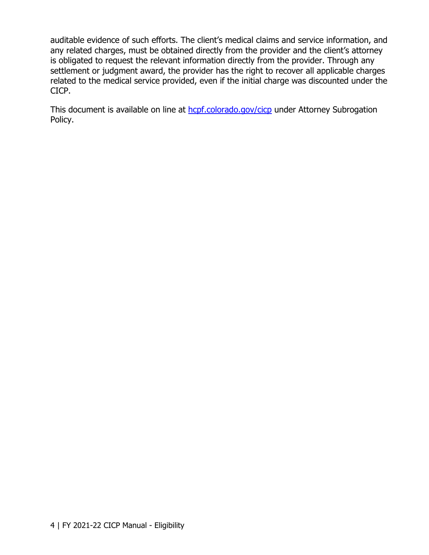is obligated to request the relevant information directly from the provider. Through any auditable evidence of such efforts. The client's medical claims and service information, and any related charges, must be obtained directly from the provider and the client's attorney settlement or judgment award, the provider has the right to recover all applicable charges related to the medical service provided, even if the initial charge was discounted under the CICP.

This document is available on line at hcpf.colorado.gov/cicp under Attorney Subrogation Policy.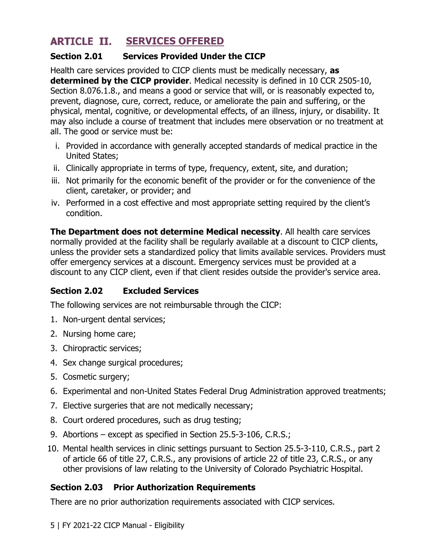## **ARTICLE II. SERVICES OFFERED**

#### **Section 2.01 Services Provided Under the CICP**

Health care services provided to CICP clients must be medically necessary, **as determined by the CICP provider**. Medical necessity is defined in 10 CCR 2505-10, Section 8.076.1.8., and means a good or service that will, or is reasonably expected to, prevent, diagnose, cure, correct, reduce, or ameliorate the pain and suffering, or the physical, mental, cognitive, or developmental effects, of an illness, injury, or disability. It may also include a course of treatment that includes mere observation or no treatment at all. The good or service must be:

- i. Provided in accordance with generally accepted standards of medical practice in the United States;
- ii. Clinically appropriate in terms of type, frequency, extent, site, and duration;
- iii. Not primarily for the economic benefit of the provider or for the convenience of the client, caretaker, or provider; and
- iv. Performed in a cost effective and most appropriate setting required by the client's condition.

**The Department does not determine Medical necessity**. All health care services normally provided at the facility shall be regularly available at a discount to CICP clients, unless the provider sets a standardized policy that limits available services. Providers must offer emergency services at a discount. Emergency services must be provided at a discount to any CICP client, even if that client resides outside the provider's service area.

#### **Section 2.02 Excluded Services**

The following services are not reimbursable through the CICP:

- 1. Non-urgent dental services;
- 2. Nursing home care;
- 3. Chiropractic services;
- 4. Sex change surgical procedures;
- 5. Cosmetic surgery;
- 6. Experimental and non-United States Federal Drug Administration approved treatments;
- 7. Elective surgeries that are not medically necessary;
- 8. Court ordered procedures, such as drug testing;
- 9. Abortions except as specified in Section 25.5-3-106, C.R.S.;
- 10. Mental health services in clinic settings pursuant to Section 25.5-3-110, C.R.S., part 2 of article 66 of title 27, C.R.S., any provisions of article 22 of title 23, C.R.S., or any other provisions of law relating to the University of Colorado Psychiatric Hospital.

#### **Section 2.03 Prior Authorization Requirements**

There are no prior authorization requirements associated with CICP services.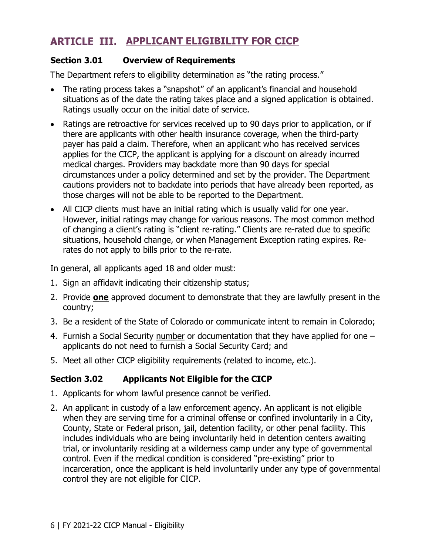## **ARTICLE III. APPLICANT ELIGIBILITY FOR CICP**

#### **Section 3.01 Overview of Requirements**

The Department refers to eligibility determination as "the rating process."

- The rating process takes a "snapshot" of an applicant's financial and household situations as of the date the rating takes place and a signed application is obtained. Ratings usually occur on the initial date of service.
- applies for the CICP, the applicant is applying for a discount on already incurred • Ratings are retroactive for services received up to 90 days prior to application, or if there are applicants with other health insurance coverage, when the third-party payer has paid a claim. Therefore, when an applicant who has received services medical charges. Providers may backdate more than 90 days for special circumstances under a policy determined and set by the provider. The Department cautions providers not to backdate into periods that have already been reported, as those charges will not be able to be reported to the Department.
- situations, household change, or when Management Exception rating expires. Re-• All CICP clients must have an initial rating which is usually valid for one year. However, initial ratings may change for various reasons. The most common method of changing a client's rating is "client re-rating." Clients are re-rated due to specific rates do not apply to bills prior to the re-rate.

In general, all applicants aged 18 and older must:

- 1. Sign an affidavit indicating their citizenship status;
- 2. Provide **one** approved document to demonstrate that they are lawfully present in the country;
- 3. Be a resident of the State of Colorado or communicate intent to remain in Colorado;
- applicants do not need to furnish a Social Security Card; and 4. Furnish a Social Security number or documentation that they have applied for one –
- 5. Meet all other CICP eligibility requirements (related to income, etc.).

#### **Section 3.02 Applicants Not Eligible for the CICP**

- 1. Applicants for whom lawful presence cannot be verified.
- when they are serving time for a criminal offense or confined involuntarily in a City, 2. An applicant in custody of a law enforcement agency. An applicant is not eligible County, State or Federal prison, jail, detention facility, or other penal facility. This includes individuals who are being involuntarily held in detention centers awaiting trial, or involuntarily residing at a wilderness camp under any type of governmental control. Even if the medical condition is considered "pre-existing" prior to incarceration, once the applicant is held involuntarily under any type of governmental control they are not eligible for CICP.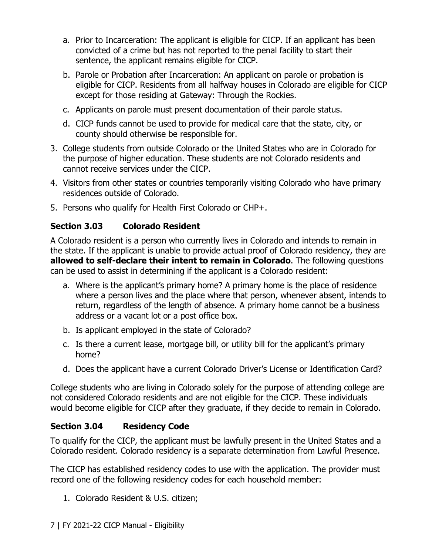- a. Prior to Incarceration: The applicant is eligible for CICP. If an applicant has been convicted of a crime but has not reported to the penal facility to start their sentence, the applicant remains eligible for CICP.
- b. Parole or Probation after Incarceration: An applicant on parole or probation is eligible for CICP. Residents from all halfway houses in Colorado are eligible for CICP except for those residing at Gateway: Through the Rockies.
- c. Applicants on parole must present documentation of their parole status.
- d. CICP funds cannot be used to provide for medical care that the state, city, or county should otherwise be responsible for.
- 3. College students from outside Colorado or the United States who are in Colorado for the purpose of higher education. These students are not Colorado residents and cannot receive services under the CICP.
- 4. Visitors from other states or countries temporarily visiting Colorado who have primary residences outside of Colorado.
- 5. Persons who qualify for Health First Colorado or CHP+.

#### **Section 3.03 Colorado Resident**

A Colorado resident is a person who currently lives in Colorado and intends to remain in the state. If the applicant is unable to provide actual proof of Colorado residency, they are **allowed to self-declare their intent to remain in Colorado**. The following questions can be used to assist in determining if the applicant is a Colorado resident:

- a. Where is the applicant's primary home? A primary home is the place of residence where a person lives and the place where that person, whenever absent, intends to return, regardless of the length of absence. A primary home cannot be a business address or a vacant lot or a post office box.
- b. Is applicant employed in the state of Colorado?
- c. Is there a current lease, mortgage bill, or utility bill for the applicant's primary home?
- d. Does the applicant have a current Colorado Driver's License or Identification Card?

 not considered Colorado residents and are not eligible for the CICP. These individuals College students who are living in Colorado solely for the purpose of attending college are would become eligible for CICP after they graduate, if they decide to remain in Colorado.

#### **Section 3.04 Residency Code**

To qualify for the CICP, the applicant must be lawfully present in the United States and a Colorado resident. Colorado residency is a separate determination from Lawful Presence.

The CICP has established residency codes to use with the application. The provider must record one of the following residency codes for each household member:

1. Colorado Resident & U.S. citizen;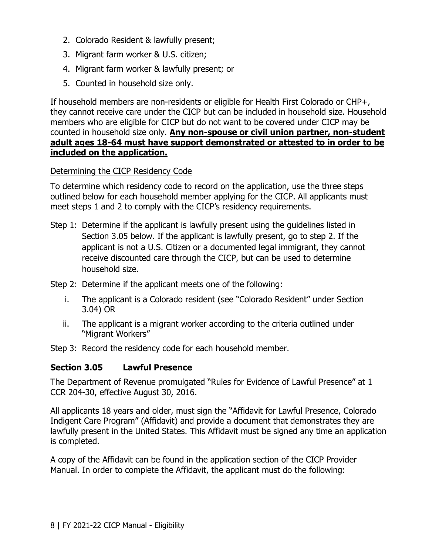- 2. Colorado Resident & lawfully present;
- 3. Migrant farm worker & U.S. citizen;
- 4. Migrant farm worker & lawfully present; or
- 5. Counted in household size only.

 counted in household size only. **Any non-spouse or civil union partner, non-student included on the application.** If household members are non-residents or eligible for Health First Colorado or CHP+, they cannot receive care under the CICP but can be included in household size. Household members who are eligible for CICP but do not want to be covered under CICP may be **adult ages 18-64 must have support demonstrated or attested to in order to be** 

#### Determining the CICP Residency Code

To determine which residency code to record on the application, use the three steps outlined below for each household member applying for the CICP. All applicants must meet steps 1 and 2 to comply with the CICP's residency requirements.

- Step 1: Determine if the applicant is lawfully present using the guidelines listed in Section 3.05 below. If the applicant is lawfully present, go to step 2. If the applicant is not a U.S. Citizen or a documented legal immigrant, they cannot receive discounted care through the CICP, but can be used to determine household size.
- Step 2: Determine if the applicant meets one of the following:
	- i. The applicant is a Colorado resident (see "Colorado Resident" under Section 3.04) OR
	- ii. The applicant is a migrant worker according to the criteria outlined under "Migrant Workers"
- Step 3: Record the residency code for each household member.

#### **Section 3.05 Lawful Presence**

The Department of Revenue promulgated "Rules for Evidence of Lawful Presence" at 1 CCR 204-30, effective August 30, 2016.

 lawfully present in the United States. This Affidavit must be signed any time an application All applicants 18 years and older, must sign the "Affidavit for Lawful Presence, Colorado Indigent Care Program" (Affidavit) and provide a document that demonstrates they are is completed.

A copy of the Affidavit can be found in the application section of the CICP Provider Manual. In order to complete the Affidavit, the applicant must do the following: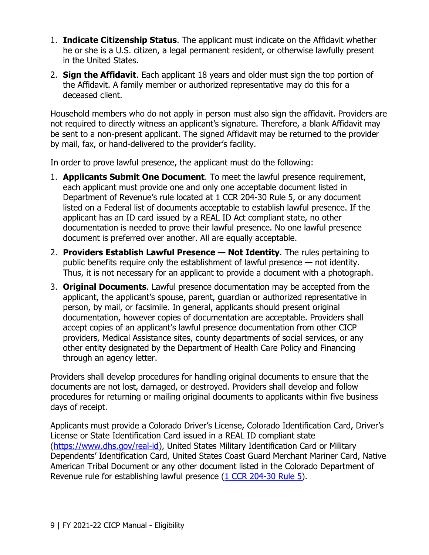- 1. **Indicate Citizenship Status**. The applicant must indicate on the Affidavit whether he or she is a U.S. citizen, a legal permanent resident, or otherwise lawfully present in the United States.
- the Affidavit. A family member or authorized representative may do this for a 2. **Sign the Affidavit**. Each applicant 18 years and older must sign the top portion of deceased client.

 Household members who do not apply in person must also sign the affidavit. Providers are not required to directly witness an applicant's signature. Therefore, a blank Affidavit may be sent to a non-present applicant. The signed Affidavit may be returned to the provider by mail, fax, or hand-delivered to the provider's facility.

In order to prove lawful presence, the applicant must do the following:

- 1. **Applicants Submit One Document**. To meet the lawful presence requirement, each applicant must provide one and only one acceptable document listed in Department of Revenue's rule located at 1 CCR 204-30 Rule 5, or any document listed on a Federal list of documents acceptable to establish lawful presence. If the applicant has an ID card issued by a REAL ID Act compliant state, no other documentation is needed to prove their lawful presence. No one lawful presence document is preferred over another. All are equally acceptable.
- Thus, it is not necessary for an applicant to provide a document with a photograph. 2. **Providers Establish Lawful Presence — Not Identity**. The rules pertaining to public benefits require only the establishment of lawful presence — not identity.
- 3. **Original Documents**. Lawful presence documentation may be accepted from the applicant, the applicant's spouse, parent, guardian or authorized representative in person, by mail, or facsimile. In general, applicants should present original documentation, however copies of documentation are acceptable. Providers shall accept copies of an applicant's lawful presence documentation from other CICP providers, Medical Assistance sites, county departments of social services, or any other entity designated by the Department of Health Care Policy and Financing through an agency letter.

Providers shall develop procedures for handling original documents to ensure that the documents are not lost, damaged, or destroyed. Providers shall develop and follow procedures for returning or mailing original documents to applicants within five business days of receipt.

Applicants must provide a Colorado Driver's License, Colorado Identification Card, Driver's License or State Identification Card issued in a REAL ID compliant state (https://www.dhs.gov/real-id), United States Military Identification Card or Military Dependents' Identification Card, United States Coast Guard Merchant Mariner Card, Native American Tribal Document or any other document listed in the Colorado Department of Revenue rule for establishing lawful presence (1 CCR 204-30 Rule 5).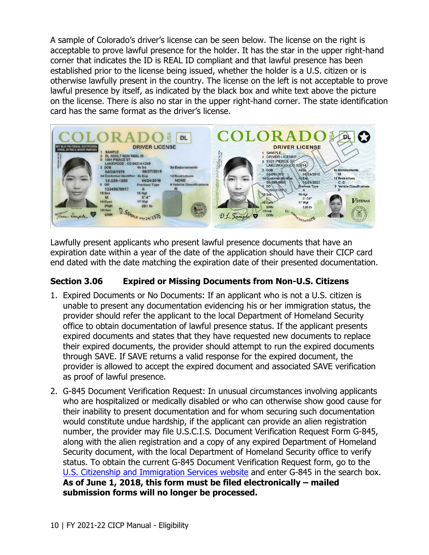A sample of Colorado's driver's license can be seen below. The license on the right is acceptable to prove lawful presence for the holder. It has the star in the upper right-hand corner that indicates the ID is REAL ID compliant and that lawful presence has been established prior to the license being issued, whether the holder is a U.S. citizen or is otherwise lawfully present in the country. The license on the left is not acceptable to prove lawful presence by itself, as indicated by the black box and white text above the picture on the license. There is also no star in the upper right-hand corner. The state identification card has the same format as the driver's license.



 expiration date within a year of the date of the application should have their CICP card Lawfully present applicants who present lawful presence documents that have an end dated with the date matching the expiration date of their presented documentation.

#### **Section 3.06 Expired or Missing Documents from Non-U.S. Citizens**

- 1. Expired Documents or No Documents: If an applicant who is not a U.S. citizen is unable to present any documentation evidencing his or her immigration status, the provider should refer the applicant to the local Department of Homeland Security office to obtain documentation of lawful presence status. If the applicant presents expired documents and states that they have requested new documents to replace their expired documents, the provider should attempt to run the expired documents through SAVE. If SAVE returns a valid response for the expired document, the provider is allowed to accept the expired document and associated SAVE verification as proof of lawful presence.
- their inability to present documentation and for whom securing such documentation 2. G-845 Document Verification Request: In unusual circumstances involving applicants who are hospitalized or medically disabled or who can otherwise show good cause for would constitute undue hardship, if the applicant can provide an alien registration number, the provider may file U.S.C.I.S. Document Verification Request Form G-845, along with the alien registration and a copy of any expired Department of Homeland Security document, with the local Department of Homeland Security office to verify status. To obtain the current G-845 Document Verification Request form, go to the U.S. Citizenship and Immigration Services website and enter G-845 in the search box. **As of June 1, 2018, this form must be filed electronically – mailed submission forms will no longer be processed.**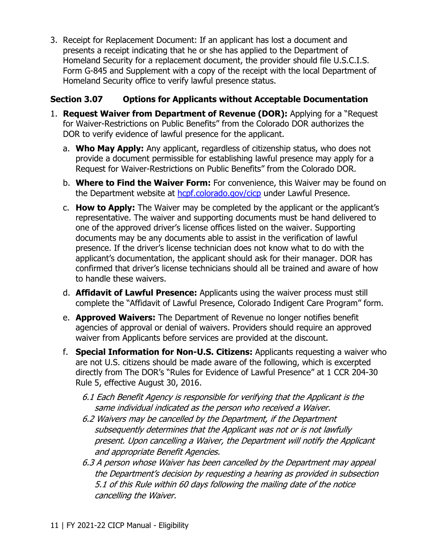3. Receipt for Replacement Document: If an applicant has lost a document and presents a receipt indicating that he or she has applied to the Department of Homeland Security for a replacement document, the provider should file U.S.C.I.S. Form G-845 and Supplement with a copy of the receipt with the local Department of Homeland Security office to verify lawful presence status.

#### **Section 3.07 Options for Applicants without Acceptable Documentation**

- 1. **Request Waiver from Department of Revenue (DOR):** Applying for a "Request for Waiver-Restrictions on Public Benefits" from the Colorado DOR authorizes the DOR to verify evidence of lawful presence for the applicant.
	- a. **Who May Apply:** Any applicant, regardless of citizenship status, who does not provide a document permissible for establishing lawful presence may apply for a Request for Waiver-Restrictions on Public Benefits" from the Colorado DOR.
	- b. **Where to Find the Waiver Form:** For convenience, this Waiver may be found on the Department website at hcpf.colorado.gov/cicp under Lawful Presence.
	- c. **How to Apply:** The Waiver may be completed by the applicant or the applicant's presence. If the driver's license technician does not know what to do with the representative. The waiver and supporting documents must be hand delivered to one of the approved driver's license offices listed on the waiver. Supporting documents may be any documents able to assist in the verification of lawful applicant's documentation, the applicant should ask for their manager. DOR has confirmed that driver's license technicians should all be trained and aware of how to handle these waivers.
	- d. **Affidavit of Lawful Presence:** Applicants using the waiver process must still complete the "Affidavit of Lawful Presence, Colorado Indigent Care Program" form.
	- e. **Approved Waivers:** The Department of Revenue no longer notifies benefit agencies of approval or denial of waivers. Providers should require an approved waiver from Applicants before services are provided at the discount.
	- f. **Special Information for Non-U.S. Citizens:** Applicants requesting a waiver who are not U.S. citizens should be made aware of the following, which is excerpted directly from The DOR's "Rules for Evidence of Lawful Presence" at 1 CCR 204-30 Rule 5, effective August 30, 2016.
		- 6.1 Each Benefit Agency is responsible for verifying that the Applicant is the same individual indicated as the person who received a Waiver.
		- subsequently determines that the Applicant was not or is not lawfully 6.2 Waivers may be cancelled by the Department, if the Department present. Upon cancelling a Waiver, the Department will notify the Applicant and appropriate Benefit Agencies.
		- 6.3 A person whose Waiver has been cancelled by the Department may appeal the Department's decision by requesting a hearing as provided in subsection 5.1 of this Rule within 60 days following the mailing date of the notice cancelling the Waiver.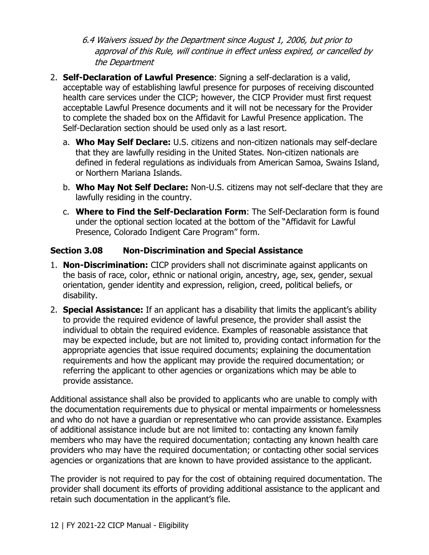6.4 Waivers issued by the Department since August 1, 2006, but prior to approval of this Rule, will continue in effect unless expired, or cancelled by the Department

- 2. **Self-Declaration of Lawful Presence**: Signing a self-declaration is a valid, to complete the shaded box on the Affidavit for Lawful Presence application. The acceptable way of establishing lawful presence for purposes of receiving discounted health care services under the CICP; however, the CICP Provider must first request acceptable Lawful Presence documents and it will not be necessary for the Provider Self-Declaration section should be used only as a last resort.
	- a. **Who May Self Declare:** U.S. citizens and non-citizen nationals may self-declare that they are lawfully residing in the United States. Non-citizen nationals are defined in federal regulations as individuals from American Samoa, Swains Island, or Northern Mariana Islands.
	- b. **Who May Not Self Declare:** Non-U.S. citizens may not self-declare that they are lawfully residing in the country.
	- c. **Where to Find the Self-Declaration Form**: The Self-Declaration form is found under the optional section located at the bottom of the "Affidavit for Lawful Presence, Colorado Indigent Care Program" form.

#### **Section 3.08 Non-Discrimination and Special Assistance**

- 1. **Non-Discrimination:** CICP providers shall not discriminate against applicants on the basis of race, color, ethnic or national origin, ancestry, age, sex, gender, sexual orientation, gender identity and expression, religion, creed, political beliefs, or disability.
- may be expected include, but are not limited to, providing contact information for the referring the applicant to other agencies or organizations which may be able to 2. **Special Assistance:** If an applicant has a disability that limits the applicant's ability to provide the required evidence of lawful presence, the provider shall assist the individual to obtain the required evidence. Examples of reasonable assistance that appropriate agencies that issue required documents; explaining the documentation requirements and how the applicant may provide the required documentation; or provide assistance.

Additional assistance shall also be provided to applicants who are unable to comply with the documentation requirements due to physical or mental impairments or homelessness and who do not have a guardian or representative who can provide assistance. Examples of additional assistance include but are not limited to: contacting any known family members who may have the required documentation; contacting any known health care providers who may have the required documentation; or contacting other social services agencies or organizations that are known to have provided assistance to the applicant.

The provider is not required to pay for the cost of obtaining required documentation. The provider shall document its efforts of providing additional assistance to the applicant and retain such documentation in the applicant's file.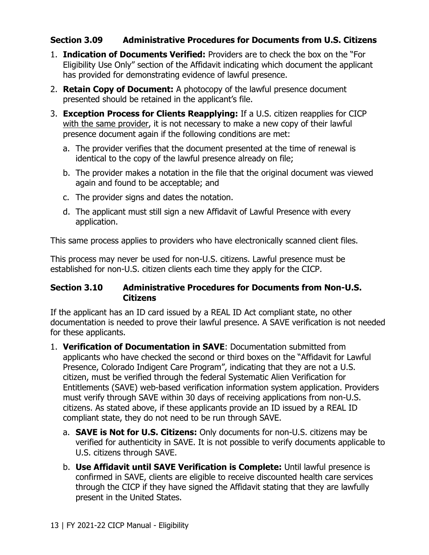#### **Section 3.09 Administrative Procedures for Documents from U.S. Citizens**

- 1. **Indication of Documents Verified:** Providers are to check the box on the "For Eligibility Use Only" section of the Affidavit indicating which document the applicant has provided for demonstrating evidence of lawful presence.
- 2. **Retain Copy of Document:** A photocopy of the lawful presence document presented should be retained in the applicant's file.
- 3. **Exception Process for Clients Reapplying:** If a U.S. citizen reapplies for CICP with the same provider, it is not necessary to make a new copy of their lawful presence document again if the following conditions are met:
	- identical to the copy of the lawful presence already on file; a. The provider verifies that the document presented at the time of renewal is
	- b. The provider makes a notation in the file that the original document was viewed again and found to be acceptable; and
	- c. The provider signs and dates the notation.
	- d. The applicant must still sign a new Affidavit of Lawful Presence with every application.

This same process applies to providers who have electronically scanned client files.

This process may never be used for non-U.S. citizens. Lawful presence must be established for non-U.S. citizen clients each time they apply for the CICP.

#### **Section 3.10 Administrative Procedures for Documents from Non-U.S. Citizens**

 If the applicant has an ID card issued by a REAL ID Act compliant state, no other documentation is needed to prove their lawful presence. A SAVE verification is not needed for these applicants.

- 1. **Verification of Documentation in SAVE**: Documentation submitted from applicants who have checked the second or third boxes on the "Affidavit for Lawful Presence, Colorado Indigent Care Program", indicating that they are not a U.S. citizen, must be verified through the federal Systematic Alien Verification for Entitlements (SAVE) web-based verification information system application. Providers must verify through SAVE within 30 days of receiving applications from non-U.S. citizens. As stated above, if these applicants provide an ID issued by a REAL ID compliant state, they do not need to be run through SAVE.
	- a. **SAVE is Not for U.S. Citizens:** Only documents for non-U.S. citizens may be verified for authenticity in SAVE. It is not possible to verify documents applicable to U.S. citizens through SAVE.
	- b. **Use Affidavit until SAVE Verification is Complete:** Until lawful presence is confirmed in SAVE, clients are eligible to receive discounted health care services through the CICP if they have signed the Affidavit stating that they are lawfully present in the United States.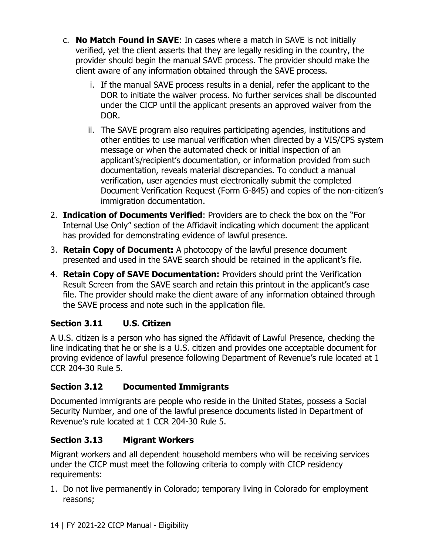- verified, yet the client asserts that they are legally residing in the country, the c. **No Match Found in SAVE**: In cases where a match in SAVE is not initially provider should begin the manual SAVE process. The provider should make the client aware of any information obtained through the SAVE process.
	- i. If the manual SAVE process results in a denial, refer the applicant to the DOR to initiate the waiver process. No further services shall be discounted under the CICP until the applicant presents an approved waiver from the DOR.
	- documentation, reveals material discrepancies. To conduct a manual ii. The SAVE program also requires participating agencies, institutions and other entities to use manual verification when directed by a VIS/CPS system message or when the automated check or initial inspection of an applicant's/recipient's documentation, or information provided from such verification, user agencies must electronically submit the completed Document Verification Request (Form G-845) and copies of the non-citizen's immigration documentation.
- 2. **Indication of Documents Verified**: Providers are to check the box on the "For Internal Use Only" section of the Affidavit indicating which document the applicant has provided for demonstrating evidence of lawful presence.
- 3. **Retain Copy of Document:** A photocopy of the lawful presence document presented and used in the SAVE search should be retained in the applicant's file.
- 4. **Retain Copy of SAVE Documentation:** Providers should print the Verification Result Screen from the SAVE search and retain this printout in the applicant's case file. The provider should make the client aware of any information obtained through the SAVE process and note such in the application file.

#### **Section 3.11 U.S. Citizen**

 proving evidence of lawful presence following Department of Revenue's rule located at 1 A U.S. citizen is a person who has signed the Affidavit of Lawful Presence, checking the line indicating that he or she is a U.S. citizen and provides one acceptable document for CCR 204-30 Rule 5.

#### **Section 3.12 Documented Immigrants**

Documented immigrants are people who reside in the United States, possess a Social Security Number, and one of the lawful presence documents listed in Department of Revenue's rule located at 1 CCR 204-30 Rule 5.

#### **Section 3.13 Migrant Workers**

 under the CICP must meet the following criteria to comply with CICP residency Migrant workers and all dependent household members who will be receiving services requirements:

1. Do not live permanently in Colorado; temporary living in Colorado for employment reasons;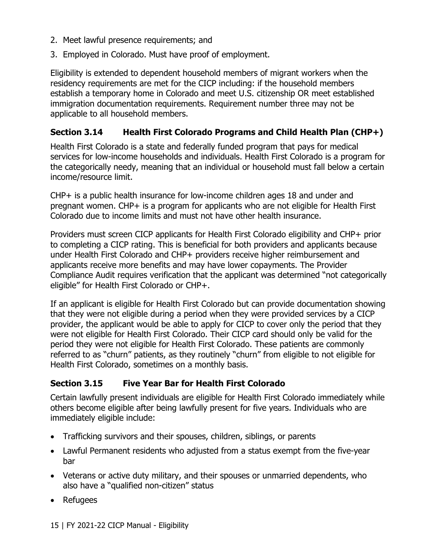- 2. Meet lawful presence requirements; and
- 3. Employed in Colorado. Must have proof of employment.

 establish a temporary home in Colorado and meet U.S. citizenship OR meet established Eligibility is extended to dependent household members of migrant workers when the residency requirements are met for the CICP including: if the household members immigration documentation requirements. Requirement number three may not be applicable to all household members.

#### **Section 3.14 Health First Colorado Programs and Child Health Plan (CHP+)**

Health First Colorado is a state and federally funded program that pays for medical services for low-income households and individuals. Health First Colorado is a program for the categorically needy, meaning that an individual or household must fall below a certain income/resource limit.

 CHP+ is a public health insurance for low-income children ages 18 and under and pregnant women. CHP+ is a program for applicants who are not eligible for Health First Colorado due to income limits and must not have other health insurance.

 eligible" for Health First Colorado or CHP+. Providers must screen CICP applicants for Health First Colorado eligibility and CHP+ prior to completing a CICP rating. This is beneficial for both providers and applicants because under Health First Colorado and CHP+ providers receive higher reimbursement and applicants receive more benefits and may have lower copayments. The Provider Compliance Audit requires verification that the applicant was determined "not categorically

If an applicant is eligible for Health First Colorado but can provide documentation showing that they were not eligible during a period when they were provided services by a CICP provider, the applicant would be able to apply for CICP to cover only the period that they were not eligible for Health First Colorado. Their CICP card should only be valid for the period they were not eligible for Health First Colorado. These patients are commonly referred to as "churn" patients, as they routinely "churn" from eligible to not eligible for Health First Colorado, sometimes on a monthly basis.

#### **Section 3.15 Five Year Bar for Health First Colorado**

Certain lawfully present individuals are eligible for Health First Colorado immediately while others become eligible after being lawfully present for five years. Individuals who are immediately eligible include:

- Trafficking survivors and their spouses, children, siblings, or parents
- Lawful Permanent residents who adjusted from a status exempt from the five-year bar
- Veterans or active duty military, and their spouses or unmarried dependents, who also have a "qualified non-citizen" status
- Refugees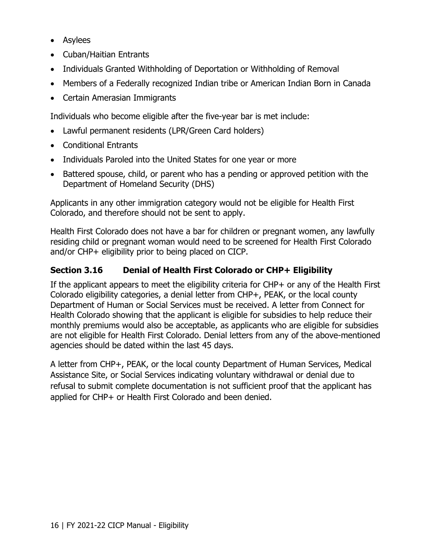- Asylees
- Cuban/Haitian Entrants
- Individuals Granted Withholding of Deportation or Withholding of Removal
- Members of a Federally recognized Indian tribe or American Indian Born in Canada
- Certain Amerasian Immigrants

Individuals who become eligible after the five-year bar is met include:

- Lawful permanent residents (LPR/Green Card holders)
- Conditional Entrants
- Individuals Paroled into the United States for one year or more
- Battered spouse, child, or parent who has a pending or approved petition with the Department of Homeland Security (DHS)

 Colorado, and therefore should not be sent to apply. Applicants in any other immigration category would not be eligible for Health First

Health First Colorado does not have a bar for children or pregnant women, any lawfully residing child or pregnant woman would need to be screened for Health First Colorado and/or CHP+ eligibility prior to being placed on CICP.

#### **Section 3.16 Denial of Health First Colorado or CHP+ Eligibility**

If the applicant appears to meet the eligibility criteria for CHP+ or any of the Health First Colorado eligibility categories, a denial letter from CHP+, PEAK, or the local county Department of Human or Social Services must be received. A letter from Connect for Health Colorado showing that the applicant is eligible for subsidies to help reduce their monthly premiums would also be acceptable, as applicants who are eligible for subsidies are not eligible for Health First Colorado. Denial letters from any of the above-mentioned agencies should be dated within the last 45 days.

A letter from CHP+, PEAK, or the local county Department of Human Services, Medical Assistance Site, or Social Services indicating voluntary withdrawal or denial due to refusal to submit complete documentation is not sufficient proof that the applicant has applied for CHP+ or Health First Colorado and been denied.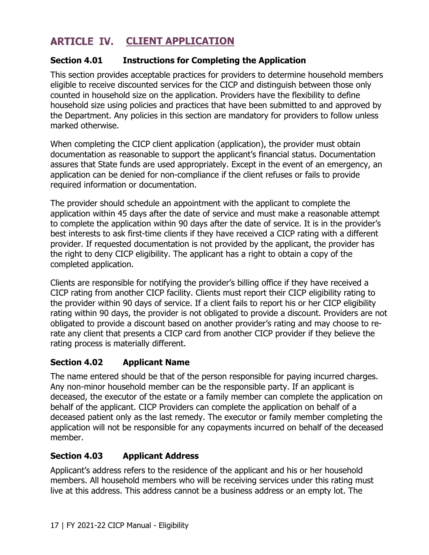## **ARTICLE IV. CLIENT APPLICATION**

#### **Section 4.01 Instructions for Completing the Application**

 counted in household size on the application. Providers have the flexibility to define This section provides acceptable practices for providers to determine household members eligible to receive discounted services for the CICP and distinguish between those only household size using policies and practices that have been submitted to and approved by the Department. Any policies in this section are mandatory for providers to follow unless marked otherwise.

When completing the CICP client application (application), the provider must obtain documentation as reasonable to support the applicant's financial status. Documentation assures that State funds are used appropriately. Except in the event of an emergency, an application can be denied for non-compliance if the client refuses or fails to provide required information or documentation.

The provider should schedule an appointment with the applicant to complete the application within 45 days after the date of service and must make a reasonable attempt to complete the application within 90 days after the date of service. It is in the provider's best interests to ask first-time clients if they have received a CICP rating with a different provider. If requested documentation is not provided by the applicant, the provider has the right to deny CICP eligibility. The applicant has a right to obtain a copy of the completed application.

Clients are responsible for notifying the provider's billing office if they have received a CICP rating from another CICP facility. Clients must report their CICP eligibility rating to the provider within 90 days of service. If a client fails to report his or her CICP eligibility rating within 90 days, the provider is not obligated to provide a discount. Providers are not obligated to provide a discount based on another provider's rating and may choose to rerate any client that presents a CICP card from another CICP provider if they believe the rating process is materially different.

#### **Section 4.02 Applicant Name**

The name entered should be that of the person responsible for paying incurred charges. Any non-minor household member can be the responsible party. If an applicant is deceased, the executor of the estate or a family member can complete the application on behalf of the applicant. CICP Providers can complete the application on behalf of a deceased patient only as the last remedy. The executor or family member completing the application will not be responsible for any copayments incurred on behalf of the deceased member.

#### **Section 4.03 Applicant Address**

Applicant's address refers to the residence of the applicant and his or her household members. All household members who will be receiving services under this rating must live at this address. This address cannot be a business address or an empty lot. The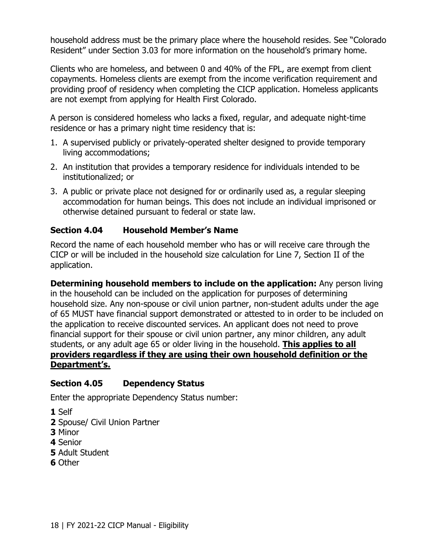household address must be the primary place where the household resides. See "Colorado Resident" under Section 3.03 for more information on the household's primary home.

Clients who are homeless, and between 0 and 40% of the FPL, are exempt from client copayments. Homeless clients are exempt from the income verification requirement and providing proof of residency when completing the CICP application. Homeless applicants are not exempt from applying for Health First Colorado.

A person is considered homeless who lacks a fixed, regular, and adequate night-time residence or has a primary night time residency that is:

- 1. A supervised publicly or privately-operated shelter designed to provide temporary living accommodations;
- 2. An institution that provides a temporary residence for individuals intended to be institutionalized; or
- 3. A public or private place not designed for or ordinarily used as, a regular sleeping accommodation for human beings. This does not include an individual imprisoned or otherwise detained pursuant to federal or state law.

#### **Section 4.04 Household Member's Name**

 CICP or will be included in the household size calculation for Line 7, Section II of the Record the name of each household member who has or will receive care through the application.

**Determining household members to include on the application:** Any person living in the household can be included on the application for purposes of determining household size. Any non-spouse or civil union partner, non-student adults under the age of 65 MUST have financial support demonstrated or attested to in order to be included on the application to receive discounted services. An applicant does not need to prove financial support for their spouse or civil union partner, any minor children, any adult students, or any adult age 65 or older living in the household. **This applies to all providers regardless if they are using their own household definition or the Department's.**

#### **Section 4.05 Dependency Status**

Enter the appropriate Dependency Status number:

- **1** Self
- **2** Spouse/ Civil Union Partner
- **3** Minor
- **4** Senior
- **5** Adult Student
- **6** Other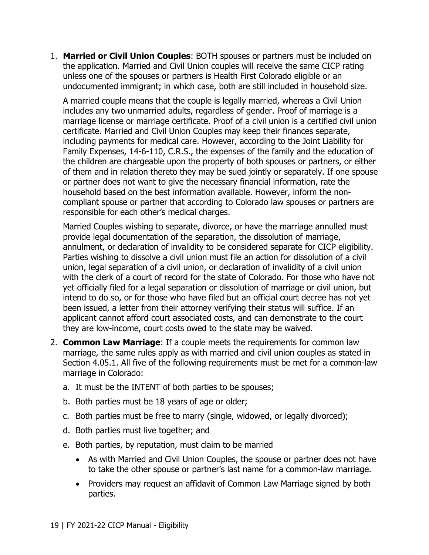1. **Married or Civil Union Couples**: BOTH spouses or partners must be included on the application. Married and Civil Union couples will receive the same CICP rating unless one of the spouses or partners is Health First Colorado eligible or an undocumented immigrant; in which case, both are still included in household size.

A married couple means that the couple is legally married, whereas a Civil Union includes any two unmarried adults, regardless of gender. Proof of marriage is a marriage license or marriage certificate. Proof of a civil union is a certified civil union certificate. Married and Civil Union Couples may keep their finances separate, including payments for medical care. However, according to the Joint Liability for Family Expenses, 14-6-110, C.R.S., the expenses of the family and the education of the children are chargeable upon the property of both spouses or partners, or either of them and in relation thereto they may be sued jointly or separately. If one spouse or partner does not want to give the necessary financial information, rate the household based on the best information available. However, inform the noncompliant spouse or partner that according to Colorado law spouses or partners are responsible for each other's medical charges.

 with the clerk of a court of record for the state of Colorado. For those who have not yet officially filed for a legal separation or dissolution of marriage or civil union, but intend to do so, or for those who have filed but an official court decree has not yet Married Couples wishing to separate, divorce, or have the marriage annulled must provide legal documentation of the separation, the dissolution of marriage, annulment, or declaration of invalidity to be considered separate for CICP eligibility. Parties wishing to dissolve a civil union must file an action for dissolution of a civil union, legal separation of a civil union, or declaration of invalidity of a civil union been issued, a letter from their attorney verifying their status will suffice. If an applicant cannot afford court associated costs, and can demonstrate to the court they are low-income, court costs owed to the state may be waived.

- Section 4.05.1. All five of the following requirements must be met for a common-law 2. **Common Law Marriage**: If a couple meets the requirements for common law marriage, the same rules apply as with married and civil union couples as stated in marriage in Colorado:
	- a. It must be the INTENT of both parties to be spouses;
	- b. Both parties must be 18 years of age or older;
	- c. Both parties must be free to marry (single, widowed, or legally divorced);
	- d. Both parties must live together; and
	- e. Both parties, by reputation, must claim to be married
		- As with Married and Civil Union Couples, the spouse or partner does not have to take the other spouse or partner's last name for a common-law marriage.
		- Providers may request an affidavit of Common Law Marriage signed by both parties.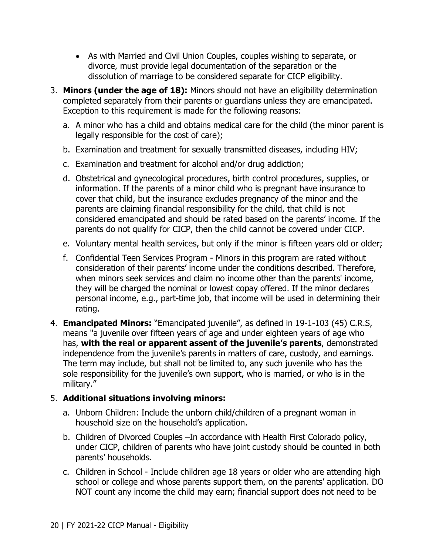- As with Married and Civil Union Couples, couples wishing to separate, or divorce, must provide legal documentation of the separation or the dissolution of marriage to be considered separate for CICP eligibility.
- 3. **Minors (under the age of 18):** Minors should not have an eligibility determination completed separately from their parents or guardians unless they are emancipated. Exception to this requirement is made for the following reasons:
	- a. A minor who has a child and obtains medical care for the child (the minor parent is legally responsible for the cost of care);
	- b. Examination and treatment for sexually transmitted diseases, including HIV;
	- c. Examination and treatment for alcohol and/or drug addiction;
	- considered emancipated and should be rated based on the parents' income. If the d. Obstetrical and gynecological procedures, birth control procedures, supplies, or information. If the parents of a minor child who is pregnant have insurance to cover that child, but the insurance excludes pregnancy of the minor and the parents are claiming financial responsibility for the child, that child is not parents do not qualify for CICP, then the child cannot be covered under CICP.
	- e. Voluntary mental health services, but only if the minor is fifteen years old or older;
	- f. Confidential Teen Services Program Minors in this program are rated without consideration of their parents' income under the conditions described. Therefore, when minors seek services and claim no income other than the parents' income, they will be charged the nominal or lowest copay offered. If the minor declares personal income, e.g., part-time job, that income will be used in determining their rating.
- 4. **Emancipated Minors:** "Emancipated juvenile", as defined in 19-1-103 (45) C.R.S, means "a juvenile over fifteen years of age and under eighteen years of age who has, **with the real or apparent assent of the juvenile's parents**, demonstrated independence from the juvenile's parents in matters of care, custody, and earnings. The term may include, but shall not be limited to, any such juvenile who has the sole responsibility for the juvenile's own support, who is married, or who is in the military."

#### 5. **Additional situations involving minors:**

- a. Unborn Children: Include the unborn child/children of a pregnant woman in household size on the household's application.
- b. Children of Divorced Couples –In accordance with Health First Colorado policy, under CICP, children of parents who have joint custody should be counted in both parents' households.
- c. Children in School Include children age 18 years or older who are attending high school or college and whose parents support them, on the parents' application. DO NOT count any income the child may earn; financial support does not need to be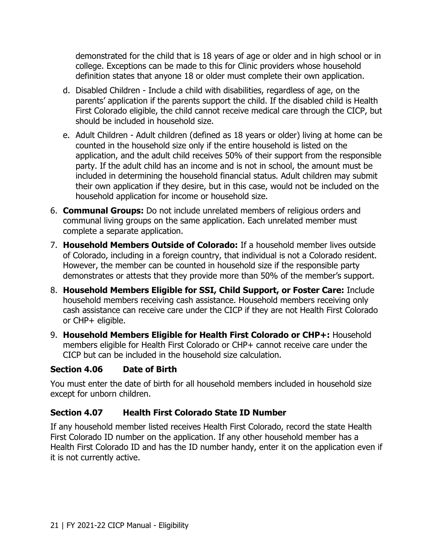demonstrated for the child that is 18 years of age or older and in high school or in college. Exceptions can be made to this for Clinic providers whose household definition states that anyone 18 or older must complete their own application.

- d. Disabled Children Include a child with disabilities, regardless of age, on the parents' application if the parents support the child. If the disabled child is Health First Colorado eligible, the child cannot receive medical care through the CICP, but should be included in household size.
- e. Adult Children Adult children (defined as 18 years or older) living at home can be application, and the adult child receives 50% of their support from the responsible counted in the household size only if the entire household is listed on the party. If the adult child has an income and is not in school, the amount must be included in determining the household financial status. Adult children may submit their own application if they desire, but in this case, would not be included on the household application for income or household size.
- 6. **Communal Groups:** Do not include unrelated members of religious orders and communal living groups on the same application. Each unrelated member must complete a separate application.
- 7. **Household Members Outside of Colorado:** If a household member lives outside of Colorado, including in a foreign country, that individual is not a Colorado resident. However, the member can be counted in household size if the responsible party demonstrates or attests that they provide more than 50% of the member's support.
- 8. **Household Members Eligible for SSI, Child Support, or Foster Care:** Include household members receiving cash assistance. Household members receiving only cash assistance can receive care under the CICP if they are not Health First Colorado or CHP+ eligible.
- 9. **Household Members Eligible for Health First Colorado or CHP+:** Household members eligible for Health First Colorado or CHP+ cannot receive care under the CICP but can be included in the household size calculation.

#### **Section 4.06 Date of Birth**

You must enter the date of birth for all household members included in household size except for unborn children.

#### **Section 4.07 Health First Colorado State ID Number**

If any household member listed receives Health First Colorado, record the state Health First Colorado ID number on the application. If any other household member has a Health First Colorado ID and has the ID number handy, enter it on the application even if it is not currently active.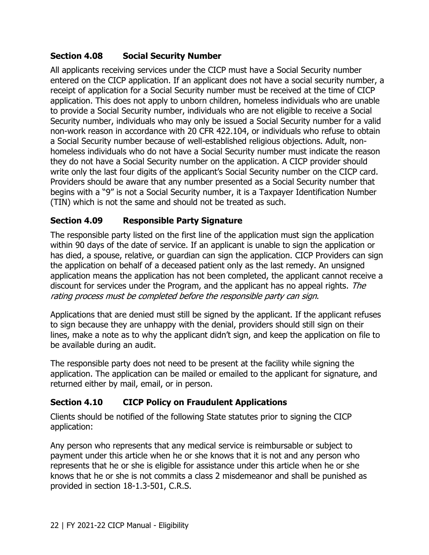#### **Section 4.08 Social Security Number**

 they do not have a Social Security number on the application. A CICP provider should All applicants receiving services under the CICP must have a Social Security number entered on the CICP application. If an applicant does not have a social security number, a receipt of application for a Social Security number must be received at the time of CICP application. This does not apply to unborn children, homeless individuals who are unable to provide a Social Security number, individuals who are not eligible to receive a Social Security number, individuals who may only be issued a Social Security number for a valid non-work reason in accordance with 20 CFR 422.104, or individuals who refuse to obtain a Social Security number because of well-established religious objections. Adult, nonhomeless individuals who do not have a Social Security number must indicate the reason write only the last four digits of the applicant's Social Security number on the CICP card. Providers should be aware that any number presented as a Social Security number that begins with a "9" is not a Social Security number, it is a Taxpayer Identification Number (TIN) which is not the same and should not be treated as such.

#### **Section 4.09 Responsible Party Signature**

The responsible party listed on the first line of the application must sign the application within 90 days of the date of service. If an applicant is unable to sign the application or has died, a spouse, relative, or guardian can sign the application. CICP Providers can sign the application on behalf of a deceased patient only as the last remedy. An unsigned application means the application has not been completed, the applicant cannot receive a discount for services under the Program, and the applicant has no appeal rights. The rating process must be completed before the responsible party can sign.

 to sign because they are unhappy with the denial, providers should still sign on their lines, make a note as to why the applicant didn't sign, and keep the application on file to Applications that are denied must still be signed by the applicant. If the applicant refuses be available during an audit.

 application. The application can be mailed or emailed to the applicant for signature, and The responsible party does not need to be present at the facility while signing the returned either by mail, email, or in person.

#### **Section 4.10 CICP Policy on Fraudulent Applications**

Clients should be notified of the following State statutes prior to signing the CICP application:

Any person who represents that any medical service is reimbursable or subject to payment under this article when he or she knows that it is not and any person who represents that he or she is eligible for assistance under this article when he or she knows that he or she is not commits a class 2 misdemeanor and shall be punished as provided in section 18-1.3-501, C.R.S.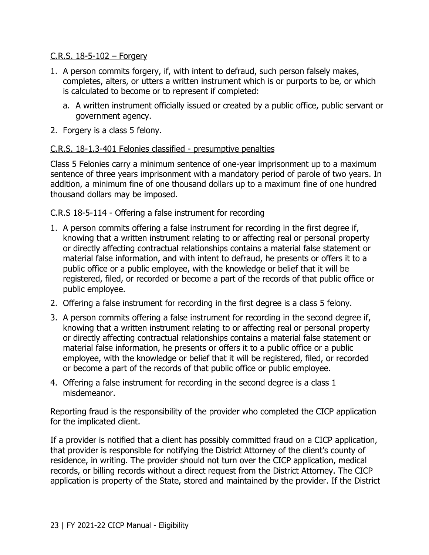#### C.R.S. 18-5-102 – Forgery

- 1. A person commits forgery, if, with intent to defraud, such person falsely makes, completes, alters, or utters a written instrument which is or purports to be, or which is calculated to become or to represent if completed:
	- a. A written instrument officially issued or created by a public office, public servant or government agency.
- 2. Forgery is a class 5 felony.

#### C.R.S. 18-1.3-401 Felonies classified - presumptive penalties

Class 5 Felonies carry a minimum sentence of one-year imprisonment up to a maximum sentence of three years imprisonment with a mandatory period of parole of two years. In addition, a minimum fine of one thousand dollars up to a maximum fine of one hundred thousand dollars may be imposed.

#### C.R.S 18-5-114 - Offering a false instrument for recording

- material false information, and with intent to defraud, he presents or offers it to a 1. A person commits offering a false instrument for recording in the first degree if, knowing that a written instrument relating to or affecting real or personal property or directly affecting contractual relationships contains a material false statement or public office or a public employee, with the knowledge or belief that it will be registered, filed, or recorded or become a part of the records of that public office or public employee.
- 2. Offering a false instrument for recording in the first degree is a class 5 felony.
- 3. A person commits offering a false instrument for recording in the second degree if, knowing that a written instrument relating to or affecting real or personal property or directly affecting contractual relationships contains a material false statement or material false information, he presents or offers it to a public office or a public employee, with the knowledge or belief that it will be registered, filed, or recorded or become a part of the records of that public office or public employee.
- 4. Offering a false instrument for recording in the second degree is a class 1 misdemeanor.

Reporting fraud is the responsibility of the provider who completed the CICP application for the implicated client.

If a provider is notified that a client has possibly committed fraud on a CICP application, that provider is responsible for notifying the District Attorney of the client's county of residence, in writing. The provider should not turn over the CICP application, medical records, or billing records without a direct request from the District Attorney. The CICP application is property of the State, stored and maintained by the provider. If the District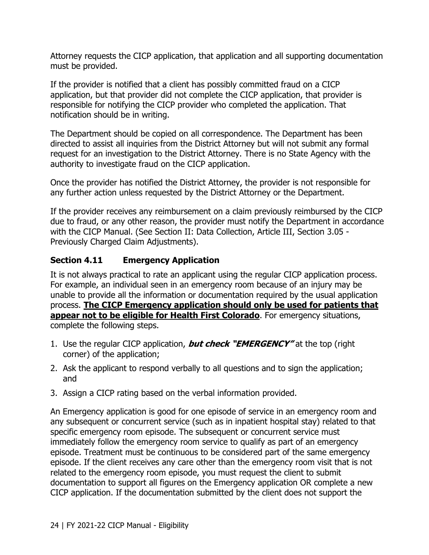Attorney requests the CICP application, that application and all supporting documentation must be provided.

If the provider is notified that a client has possibly committed fraud on a CICP application, but that provider did not complete the CICP application, that provider is responsible for notifying the CICP provider who completed the application. That notification should be in writing.

 The Department should be copied on all correspondence. The Department has been directed to assist all inquiries from the District Attorney but will not submit any formal request for an investigation to the District Attorney. There is no State Agency with the authority to investigate fraud on the CICP application.

Once the provider has notified the District Attorney, the provider is not responsible for any further action unless requested by the District Attorney or the Department.

If the provider receives any reimbursement on a claim previously reimbursed by the CICP due to fraud, or any other reason, the provider must notify the Department in accordance with the CICP Manual. (See Section II: Data Collection, Article III, Section 3.05 - Previously Charged Claim Adjustments).

#### **Section 4.11 Emergency Application**

 unable to provide all the information or documentation required by the usual application It is not always practical to rate an applicant using the regular CICP application process. For example, an individual seen in an emergency room because of an injury may be process. **The CICP Emergency application should only be used for patients that appear not to be eligible for Health First Colorado**. For emergency situations, complete the following steps.

- 1. Use the regular CICP application, **but check "EMERGENCY"** at the top (right corner) of the application;
- 2. Ask the applicant to respond verbally to all questions and to sign the application; and
- 3. Assign a CICP rating based on the verbal information provided.

 An Emergency application is good for one episode of service in an emergency room and any subsequent or concurrent service (such as in inpatient hospital stay) related to that specific emergency room episode. The subsequent or concurrent service must immediately follow the emergency room service to qualify as part of an emergency episode. Treatment must be continuous to be considered part of the same emergency episode. If the client receives any care other than the emergency room visit that is not related to the emergency room episode, you must request the client to submit documentation to support all figures on the Emergency application OR complete a new CICP application. If the documentation submitted by the client does not support the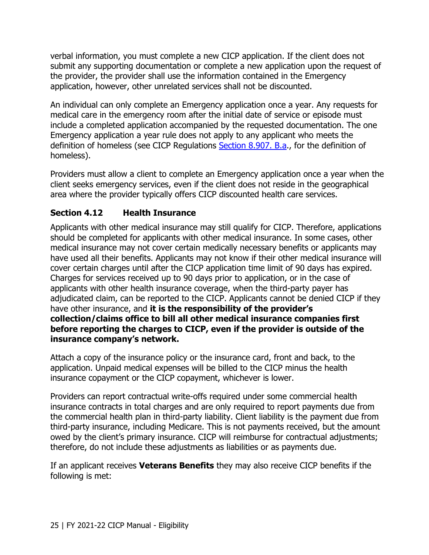verbal information, you must complete a new CICP application. If the client does not submit any supporting documentation or complete a new application upon the request of the provider, the provider shall use the information contained in the Emergency application, however, other unrelated services shall not be discounted.

definition of homeless (see CICP Regulations <u>Section 8.907. B.a</u>., for the definition of An individual can only complete an Emergency application once a year. Any requests for medical care in the emergency room after the initial date of service or episode must include a completed application accompanied by the requested documentation. The one Emergency application a year rule does not apply to any applicant who meets the homeless).

 area where the provider typically offers CICP discounted health care services. Providers must allow a client to complete an Emergency application once a year when the client seeks emergency services, even if the client does not reside in the geographical

#### **Section 4.12 Health Insurance**

Applicants with other medical insurance may still qualify for CICP. Therefore, applications should be completed for applicants with other medical insurance. In some cases, other medical insurance may not cover certain medically necessary benefits or applicants may have used all their benefits. Applicants may not know if their other medical insurance will cover certain charges until after the CICP application time limit of 90 days has expired. Charges for services received up to 90 days prior to application, or in the case of applicants with other health insurance coverage, when the third-party payer has adjudicated claim, can be reported to the CICP. Applicants cannot be denied CICP if they have other insurance, and **it is the responsibility of the provider's collection/claims office to bill all other medical insurance companies first before reporting the charges to CICP, even if the provider is outside of the insurance company's network.**

Attach a copy of the insurance policy or the insurance card, front and back, to the application. Unpaid medical expenses will be billed to the CICP minus the health insurance copayment or the CICP copayment, whichever is lower.

Providers can report contractual write-offs required under some commercial health insurance contracts in total charges and are only required to report payments due from the commercial health plan in third-party liability. Client liability is the payment due from third-party insurance, including Medicare. This is not payments received, but the amount owed by the client's primary insurance. CICP will reimburse for contractual adjustments; therefore, do not include these adjustments as liabilities or as payments due.

If an applicant receives **Veterans Benefits** they may also receive CICP benefits if the following is met: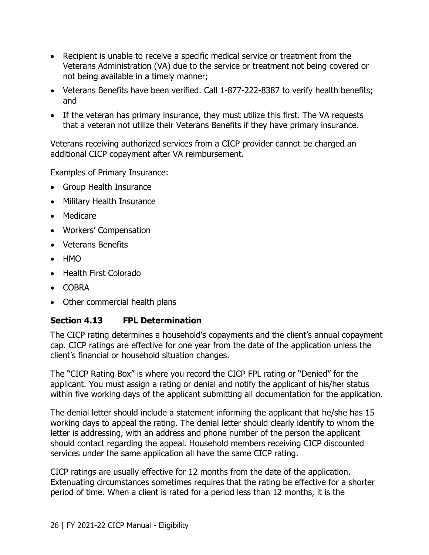- Recipient is unable to receive a specific medical service or treatment from the Veterans Administration (VA) due to the service or treatment not being covered or not being available in a timely manner;
- Veterans Benefits have been verified. Call 1-877-222-8387 to verify health benefits; and
- If the veteran has primary insurance, they must utilize this first. The VA requests that a veteran not utilize their Veterans Benefits if they have primary insurance.

Veterans receiving authorized services from a CICP provider cannot be charged an additional CICP copayment after VA reimbursement.

Examples of Primary Insurance:

- Group Health Insurance
- Military Health Insurance
- Medicare
- Workers' Compensation
- Veterans Benefits
- $\bullet$  HMO
- Health First Colorado
- COBRA
- Other commercial health plans

#### **Section 4.13 FPL Determination**

 The CICP rating determines a household's copayments and the client's annual copayment cap. CICP ratings are effective for one year from the date of the application unless the client's financial or household situation changes.

The "CICP Rating Box" is where you record the CICP FPL rating or "Denied" for the applicant. You must assign a rating or denial and notify the applicant of his/her status within five working days of the applicant submitting all documentation for the application.

 services under the same application all have the same CICP rating. The denial letter should include a statement informing the applicant that he/she has 15 working days to appeal the rating. The denial letter should clearly identify to whom the letter is addressing, with an address and phone number of the person the applicant should contact regarding the appeal. Household members receiving CICP discounted

CICP ratings are usually effective for 12 months from the date of the application. Extenuating circumstances sometimes requires that the rating be effective for a shorter period of time. When a client is rated for a period less than 12 months, it is the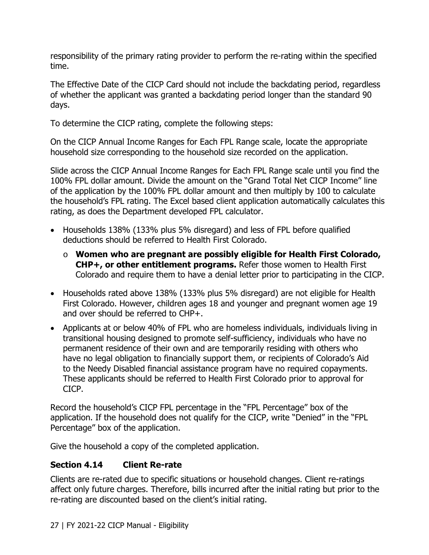responsibility of the primary rating provider to perform the re-rating within the specified time.

The Effective Date of the CICP Card should not include the backdating period, regardless of whether the applicant was granted a backdating period longer than the standard 90 days.

To determine the CICP rating, complete the following steps:

On the CICP Annual Income Ranges for Each FPL Range scale, locate the appropriate household size corresponding to the household size recorded on the application.

Slide across the CICP Annual Income Ranges for Each FPL Range scale until you find the 100% FPL dollar amount. Divide the amount on the "Grand Total Net CICP Income" line of the application by the 100% FPL dollar amount and then multiply by 100 to calculate the household's FPL rating. The Excel based client application automatically calculates this rating, as does the Department developed FPL calculator.

- Households 138% (133% plus 5% disregard) and less of FPL before qualified deductions should be referred to Health First Colorado.
	- o **Women who are pregnant are possibly eligible for Health First Colorado, CHP+, or other entitlement programs.** Refer those women to Health First Colorado and require them to have a denial letter prior to participating in the CICP.
- Households rated above 138% (133% plus 5% disregard) are not eligible for Health First Colorado. However, children ages 18 and younger and pregnant women age 19 and over should be referred to CHP+.
- Applicants at or below 40% of FPL who are homeless individuals, individuals living in transitional housing designed to promote self-sufficiency, individuals who have no permanent residence of their own and are temporarily residing with others who have no legal obligation to financially support them, or recipients of Colorado's Aid to the Needy Disabled financial assistance program have no required copayments. These applicants should be referred to Health First Colorado prior to approval for CICP.

 application. If the household does not qualify for the CICP, write "Denied" in the "FPL Record the household's CICP FPL percentage in the "FPL Percentage" box of the Percentage" box of the application.

Give the household a copy of the completed application.

#### **Section 4.14 Client Re-rate**

Clients are re-rated due to specific situations or household changes. Client re-ratings affect only future charges. Therefore, bills incurred after the initial rating but prior to the re-rating are discounted based on the client's initial rating.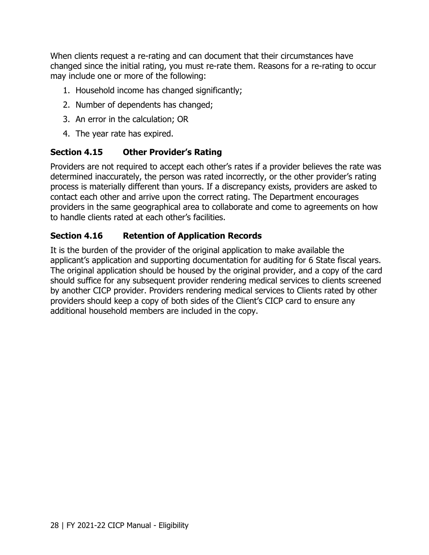When clients request a re-rating and can document that their circumstances have changed since the initial rating, you must re-rate them. Reasons for a re-rating to occur may include one or more of the following:

- 1. Household income has changed significantly;
- 2. Number of dependents has changed;
- 3. An error in the calculation; OR
- 4. The year rate has expired.

#### **Section 4.15 Other Provider's Rating**

Providers are not required to accept each other's rates if a provider believes the rate was determined inaccurately, the person was rated incorrectly, or the other provider's rating process is materially different than yours. If a discrepancy exists, providers are asked to contact each other and arrive upon the correct rating. The Department encourages providers in the same geographical area to collaborate and come to agreements on how to handle clients rated at each other's facilities.

#### **Section 4.16 Retention of Application Records**

 providers should keep a copy of both sides of the Client's CICP card to ensure any It is the burden of the provider of the original application to make available the applicant's application and supporting documentation for auditing for 6 State fiscal years. The original application should be housed by the original provider, and a copy of the card should suffice for any subsequent provider rendering medical services to clients screened by another CICP provider. Providers rendering medical services to Clients rated by other additional household members are included in the copy.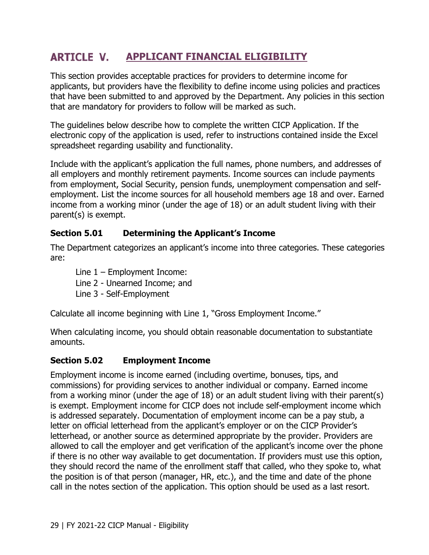#### **ARTICLE V. APPLICANT FINANCIAL ELIGIBILITY**

 applicants, but providers have the flexibility to define income using policies and practices This section provides acceptable practices for providers to determine income for that have been submitted to and approved by the Department. Any policies in this section that are mandatory for providers to follow will be marked as such.

The guidelines below describe how to complete the written CICP Application. If the electronic copy of the application is used, refer to instructions contained inside the Excel spreadsheet regarding usability and functionality.

 Include with the applicant's application the full names, phone numbers, and addresses of income from a working minor (under the age of 18) or an adult student living with their parent(s) is exempt. all employers and monthly retirement payments. Income sources can include payments from employment, Social Security, pension funds, unemployment compensation and selfemployment. List the income sources for all household members age 18 and over. Earned

#### **Section 5.01 Determining the Applicant's Income**

The Department categorizes an applicant's income into three categories. These categories are:

Line 1 – Employment Income: Line 2 - Unearned Income; and Line 3 - Self-Employment

Calculate all income beginning with Line 1, "Gross Employment Income."

When calculating income, you should obtain reasonable documentation to substantiate amounts.

#### **Section 5.02 Employment Income**

 letterhead, or another source as determined appropriate by the provider. Providers are Employment income is income earned (including overtime, bonuses, tips, and commissions) for providing services to another individual or company. Earned income from a working minor (under the age of 18) or an adult student living with their parent(s) is exempt. Employment income for CICP does not include self-employment income which is addressed separately. Documentation of employment income can be a pay stub, a letter on official letterhead from the applicant's employer or on the CICP Provider's allowed to call the employer and get verification of the applicant's income over the phone if there is no other way available to get documentation. If providers must use this option, they should record the name of the enrollment staff that called, who they spoke to, what the position is of that person (manager, HR, etc.), and the time and date of the phone call in the notes section of the application. This option should be used as a last resort.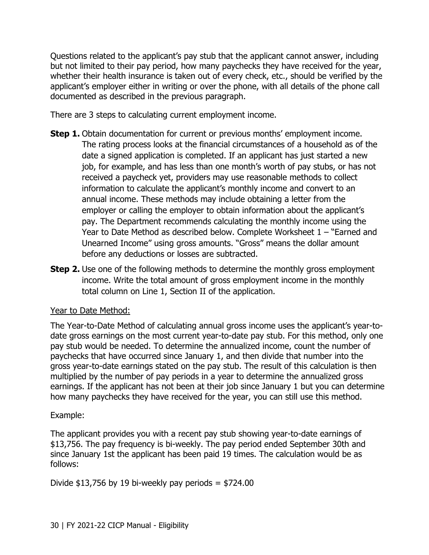Questions related to the applicant's pay stub that the applicant cannot answer, including but not limited to their pay period, how many paychecks they have received for the year, whether their health insurance is taken out of every check, etc., should be verified by the applicant's employer either in writing or over the phone, with all details of the phone call documented as described in the previous paragraph.

There are 3 steps to calculating current employment income.

- annual income. These methods may include obtaining a letter from the **Step 1.** Obtain documentation for current or previous months' employment income. The rating process looks at the financial circumstances of a household as of the date a signed application is completed. If an applicant has just started a new job, for example, and has less than one month's worth of pay stubs, or has not received a paycheck yet, providers may use reasonable methods to collect information to calculate the applicant's monthly income and convert to an employer or calling the employer to obtain information about the applicant's pay. The Department recommends calculating the monthly income using the Year to Date Method as described below. Complete Worksheet 1 – "Earned and Unearned Income" using gross amounts. "Gross" means the dollar amount before any deductions or losses are subtracted.
- **Step 2.** Use one of the following methods to determine the monthly gross employment income. Write the total amount of gross employment income in the monthly total column on Line 1, Section II of the application.

#### Year to Date Method:

 gross year-to-date earnings stated on the pay stub. The result of this calculation is then earnings. If the applicant has not been at their job since January 1 but you can determine The Year-to-Date Method of calculating annual gross income uses the applicant's year-todate gross earnings on the most current year-to-date pay stub. For this method, only one pay stub would be needed. To determine the annualized income, count the number of paychecks that have occurred since January 1, and then divide that number into the multiplied by the number of pay periods in a year to determine the annualized gross how many paychecks they have received for the year, you can still use this method.

#### Example:

 \$13,756. The pay frequency is bi-weekly. The pay period ended September 30th and The applicant provides you with a recent pay stub showing year-to-date earnings of since January 1st the applicant has been paid 19 times. The calculation would be as follows:

Divide  $$13,756$  by 19 bi-weekly pay periods =  $$724.00$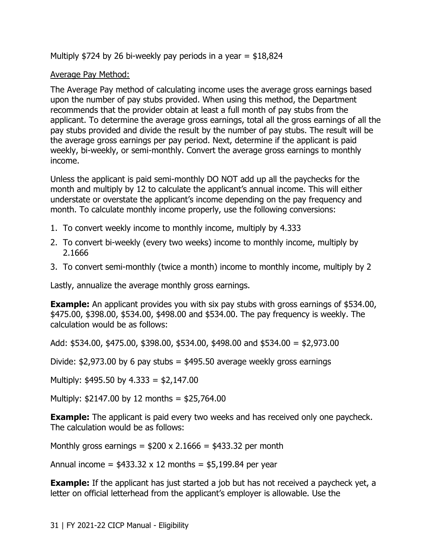Multiply  $$724$  by 26 bi-weekly pay periods in a year =  $$18,824$ 

#### Average Pay Method:

The Average Pay method of calculating income uses the average gross earnings based upon the number of pay stubs provided. When using this method, the Department recommends that the provider obtain at least a full month of pay stubs from the applicant. To determine the average gross earnings, total all the gross earnings of all the pay stubs provided and divide the result by the number of pay stubs. The result will be the average gross earnings per pay period. Next, determine if the applicant is paid weekly, bi-weekly, or semi-monthly. Convert the average gross earnings to monthly income.

Unless the applicant is paid semi-monthly DO NOT add up all the paychecks for the month and multiply by 12 to calculate the applicant's annual income. This will either understate or overstate the applicant's income depending on the pay frequency and month. To calculate monthly income properly, use the following conversions:

- 1. To convert weekly income to monthly income, multiply by 4.333
- 2. To convert bi-weekly (every two weeks) income to monthly income, multiply by 2.1666
- 3. To convert semi-monthly (twice a month) income to monthly income, multiply by 2

Lastly, annualize the average monthly gross earnings.

**Example:** An applicant provides you with six pay stubs with gross earnings of \$534.00, \$475.00, \$398.00, \$534.00, \$498.00 and \$534.00. The pay frequency is weekly. The calculation would be as follows:

Add: \$534.00, \$475.00, \$398.00, \$534.00, \$498.00 and \$534.00 = \$2,973.00

Divide:  $$2,973.00$  by 6 pay stubs =  $$495.50$  average weekly gross earnings

Multiply: \$495.50 by 4.333 = \$2,147.00

Multiply: \$2147.00 by 12 months = \$25,764.00

**Example:** The applicant is paid every two weeks and has received only one paycheck. The calculation would be as follows:

Monthly gross earnings  $=$  \$200 x 2.1666  $=$  \$433.32 per month

Annual income =  $$433.32 \times 12$  months =  $$5,199.84$  per year

**Example:** If the applicant has just started a job but has not received a paycheck yet, a letter on official letterhead from the applicant's employer is allowable. Use the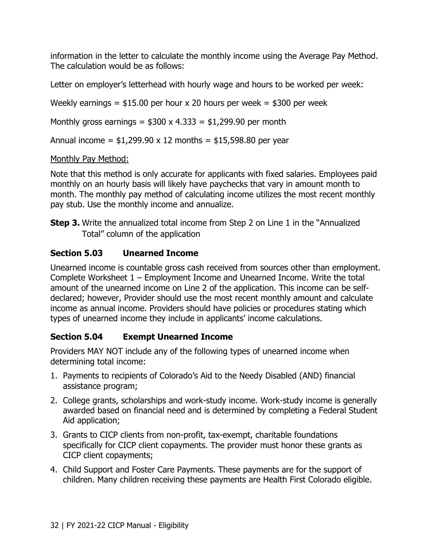information in the letter to calculate the monthly income using the Average Pay Method. The calculation would be as follows:

Letter on employer's letterhead with hourly wage and hours to be worked per week:

Weekly earnings  $=$  \$15.00 per hour x 20 hours per week  $=$  \$300 per week

Monthly gross earnings =  $$300 \times 4.333 = $1,299.90$  per month

Annual income =  $$1,299.90 \times 12$  months =  $$15,598.80$  per year

#### Monthly Pay Method:

Note that this method is only accurate for applicants with fixed salaries. Employees paid monthly on an hourly basis will likely have paychecks that vary in amount month to month. The monthly pay method of calculating income utilizes the most recent monthly pay stub. Use the monthly income and annualize.

**Step 3.** Write the annualized total income from Step 2 on Line 1 in the "Annualized Total" column of the application

#### **Section 5.03 Unearned Income**

 types of unearned income they include in applicants' income calculations. Unearned income is countable gross cash received from sources other than employment. Complete Worksheet 1 – Employment Income and Unearned Income. Write the total amount of the unearned income on Line 2 of the application. This income can be selfdeclared; however, Provider should use the most recent monthly amount and calculate income as annual income. Providers should have policies or procedures stating which

#### **Section 5.04 Exempt Unearned Income**

Providers MAY NOT include any of the following types of unearned income when determining total income:

- 1. Payments to recipients of Colorado's Aid to the Needy Disabled (AND) financial assistance program;
- 2. College grants, scholarships and work-study income. Work-study income is generally awarded based on financial need and is determined by completing a Federal Student Aid application;
- 3. Grants to CICP clients from non-profit, tax-exempt, charitable foundations specifically for CICP client copayments. The provider must honor these grants as CICP client copayments;
- 4. Child Support and Foster Care Payments. These payments are for the support of children. Many children receiving these payments are Health First Colorado eligible.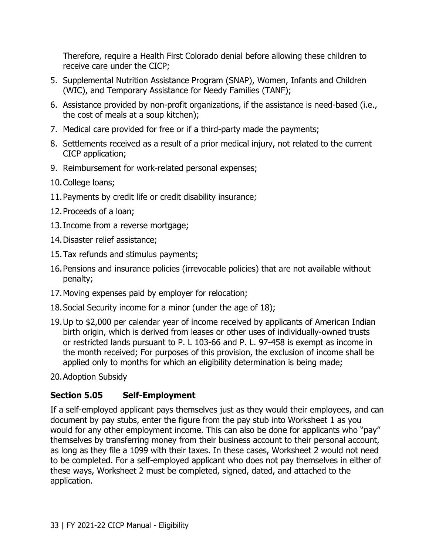Therefore, require a Health First Colorado denial before allowing these children to receive care under the CICP;

- 5. Supplemental Nutrition Assistance Program (SNAP), Women, Infants and Children (WIC), and Temporary Assistance for Needy Families (TANF);
- 6. Assistance provided by non-profit organizations, if the assistance is need-based (i.e., the cost of meals at a soup kitchen);
- 7. Medical care provided for free or if a third-party made the payments;
- 8. Settlements received as a result of a prior medical injury, not related to the current CICP application;
- 9. Reimbursement for work-related personal expenses;
- 10.College loans;
- 11.Payments by credit life or credit disability insurance;
- 12.Proceeds of a loan;
- 13.Income from a reverse mortgage;
- 14.Disaster relief assistance;
- 15.Tax refunds and stimulus payments;
- 16.Pensions and insurance policies (irrevocable policies) that are not available without penalty;
- 17.Moving expenses paid by employer for relocation;
- 18.Social Security income for a minor (under the age of 18);
- 19.Up to \$2,000 per calendar year of income received by applicants of American Indian birth origin, which is derived from leases or other uses of individually-owned trusts or restricted lands pursuant to P. L 103-66 and P. L. 97-458 is exempt as income in the month received; For purposes of this provision, the exclusion of income shall be applied only to months for which an eligibility determination is being made;
- 20.Adoption Subsidy

## **Section 5.05 Self-Employment**

 document by pay stubs, enter the figure from the pay stub into Worksheet 1 as you would for any other employment income. This can also be done for applicants who "pay" to be completed. For a self-employed applicant who does not pay themselves in either of If a self-employed applicant pays themselves just as they would their employees, and can themselves by transferring money from their business account to their personal account, as long as they file a 1099 with their taxes. In these cases, Worksheet 2 would not need these ways, Worksheet 2 must be completed, signed, dated, and attached to the application.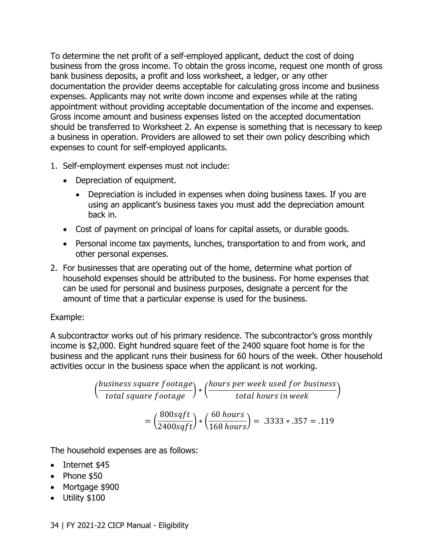To determine the net profit of a self-employed applicant, deduct the cost of doing business from the gross income. To obtain the gross income, request one month of gross bank business deposits, a profit and loss worksheet, a ledger, or any other documentation the provider deems acceptable for calculating gross income and business expenses. Applicants may not write down income and expenses while at the rating appointment without providing acceptable documentation of the income and expenses. Gross income amount and business expenses listed on the accepted documentation should be transferred to Worksheet 2. An expense is something that is necessary to keep a business in operation. Providers are allowed to set their own policy describing which expenses to count for self-employed applicants.

- 1. Self-employment expenses must not include:
	- Depreciation of equipment.
		- Depreciation is included in expenses when doing business taxes. If you are using an applicant's business taxes you must add the depreciation amount back in.
	- Cost of payment on principal of loans for capital assets, or durable goods.
	- Personal income tax payments, lunches, transportation to and from work, and other personal expenses.
- amount of time that a particular expense is used for the business. 2. For businesses that are operating out of the home, determine what portion of household expenses should be attributed to the business. For home expenses that can be used for personal and business purposes, designate a percent for the

#### Example:

A subcontractor works out of his primary residence. The subcontractor's gross monthly income is \$2,000. Eight hundred square feet of the 2400 square foot home is for the business and the applicant runs their business for 60 hours of the week. Other household activities occur in the business space when the applicant is not working.

$$
\left(\frac{business\ square\ focused}{total\ square\ focused}\right) * \left(\frac{hours\ per\ week\ used\ for\ business}{total\ hours\ in\ week}\right)
$$

$$
= \left(\frac{800\sqrt{100\ kg\ ft}}{2400\sqrt{100\ kg\ ft}}\right) * \left(\frac{60\ hours}{168\ hours}\right) = .3333*.357 = .119
$$

The household expenses are as follows:

- Internet \$45
- $\bullet$  Phone \$50
- Mortgage \$900
- Utility \$100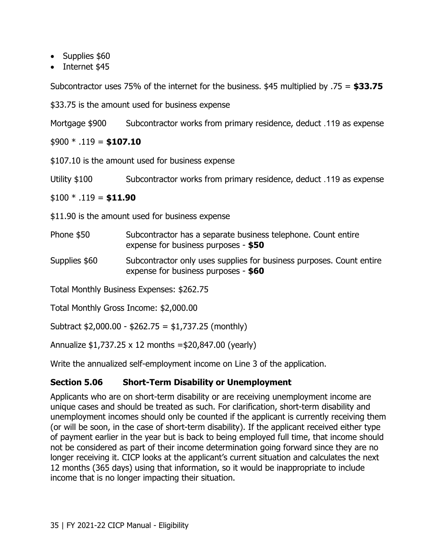- Supplies \$60
- Internet \$45

Subcontractor uses 75% of the internet for the business. \$45 multiplied by .75 = **\$33.75**

\$33.75 is the amount used for business expense

Mortgage \$900 Subcontractor works from primary residence, deduct .119 as expense

\$900 \* .119 = **\$107.10**

\$107.10 is the amount used for business expense

Utility \$100 Subcontractor works from primary residence, deduct .119 as expense

#### \$100 \* .119 = **\$11.90**

\$11.90 is the amount used for business expense

- Phone \$50 Subcontractor has a separate business telephone. Count entire expense for business purposes - **\$50**
- Supplies \$60 Subcontractor only uses supplies for business purposes. Count entire expense for business purposes - **\$60**

Total Monthly Business Expenses: \$262.75

Total Monthly Gross Income: \$2,000.00

Subtract \$2,000.00 - \$262.75 = \$1,737.25 (monthly)

Annualize \$1,737.25 x 12 months =\$20,847.00 (yearly)

Write the annualized self-employment income on Line 3 of the application.

#### **Section 5.06 Short-Term Disability or Unemployment**

Applicants who are on short-term disability or are receiving unemployment income are unique cases and should be treated as such. For clarification, short-term disability and unemployment incomes should only be counted if the applicant is currently receiving them (or will be soon, in the case of short-term disability). If the applicant received either type of payment earlier in the year but is back to being employed full time, that income should not be considered as part of their income determination going forward since they are no longer receiving it. CICP looks at the applicant's current situation and calculates the next 12 months (365 days) using that information, so it would be inappropriate to include income that is no longer impacting their situation.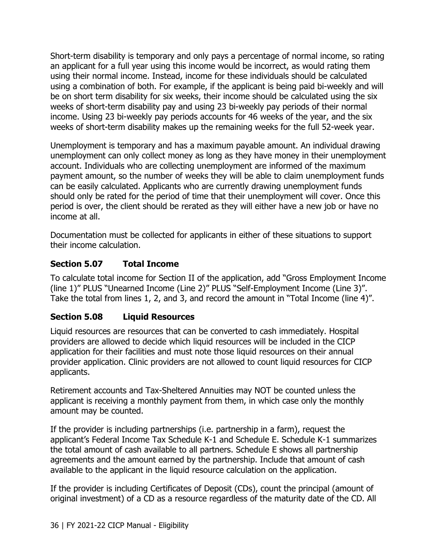an applicant for a full year using this income would be incorrect, as would rating them Short-term disability is temporary and only pays a percentage of normal income, so rating using their normal income. Instead, income for these individuals should be calculated using a combination of both. For example, if the applicant is being paid bi-weekly and will be on short term disability for six weeks, their income should be calculated using the six weeks of short-term disability pay and using 23 bi-weekly pay periods of their normal income. Using 23 bi-weekly pay periods accounts for 46 weeks of the year, and the six weeks of short-term disability makes up the remaining weeks for the full 52-week year.

 can be easily calculated. Applicants who are currently drawing unemployment funds Unemployment is temporary and has a maximum payable amount. An individual drawing unemployment can only collect money as long as they have money in their unemployment account. Individuals who are collecting unemployment are informed of the maximum payment amount, so the number of weeks they will be able to claim unemployment funds should only be rated for the period of time that their unemployment will cover. Once this period is over, the client should be rerated as they will either have a new job or have no income at all.

Documentation must be collected for applicants in either of these situations to support their income calculation.

#### **Section 5.07 Total Income**

To calculate total income for Section II of the application, add "Gross Employment Income (line 1)" PLUS "Unearned Income (Line 2)" PLUS "Self-Employment Income (Line 3)". Take the total from lines 1, 2, and 3, and record the amount in "Total Income (line 4)".

#### **Section 5.08 Liquid Resources**

Liquid resources are resources that can be converted to cash immediately. Hospital providers are allowed to decide which liquid resources will be included in the CICP application for their facilities and must note those liquid resources on their annual provider application. Clinic providers are not allowed to count liquid resources for CICP applicants.

 amount may be counted. Retirement accounts and Tax-Sheltered Annuities may NOT be counted unless the applicant is receiving a monthly payment from them, in which case only the monthly

 the total amount of cash available to all partners. Schedule E shows all partnership If the provider is including partnerships (i.e. partnership in a farm), request the applicant's Federal Income Tax Schedule K-1 and Schedule E. Schedule K-1 summarizes agreements and the amount earned by the partnership. Include that amount of cash available to the applicant in the liquid resource calculation on the application.

If the provider is including Certificates of Deposit (CDs), count the principal (amount of original investment) of a CD as a resource regardless of the maturity date of the CD. All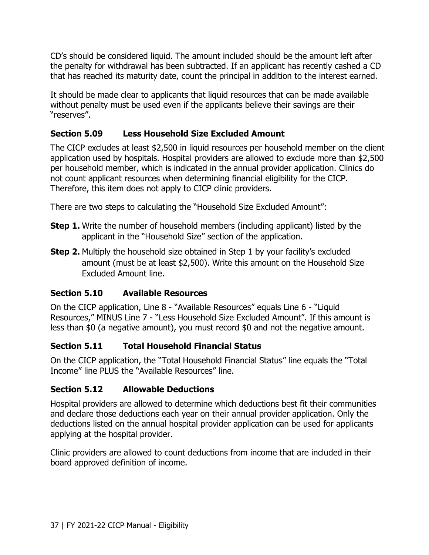CD's should be considered liquid. The amount included should be the amount left after the penalty for withdrawal has been subtracted. If an applicant has recently cashed a CD that has reached its maturity date, count the principal in addition to the interest earned.

 without penalty must be used even if the applicants believe their savings are their It should be made clear to applicants that liquid resources that can be made available "reserves".

#### **Section 5.09 Less Household Size Excluded Amount**

 Therefore, this item does not apply to CICP clinic providers. The CICP excludes at least \$2,500 in liquid resources per household member on the client application used by hospitals. Hospital providers are allowed to exclude more than \$2,500 per household member, which is indicated in the annual provider application. Clinics do not count applicant resources when determining financial eligibility for the CICP.

There are two steps to calculating the "Household Size Excluded Amount":

- applicant in the "Household Size" section of the application. **Step 1.** Write the number of household members (including applicant) listed by the
- amount (must be at least \$2,500). Write this amount on the Household Size **Step 2.** Multiply the household size obtained in Step 1 by your facility's excluded Excluded Amount line.

#### **Section 5.10 Available Resources**

 less than \$0 (a negative amount), you must record \$0 and not the negative amount. On the CICP application, Line 8 - "Available Resources" equals Line 6 - "Liquid Resources," MINUS Line 7 - "Less Household Size Excluded Amount". If this amount is

#### **Section 5.11 Total Household Financial Status**

On the CICP application, the "Total Household Financial Status" line equals the "Total Income" line PLUS the "Available Resources" line.

#### **Section 5.12 Allowable Deductions**

 Hospital providers are allowed to determine which deductions best fit their communities and declare those deductions each year on their annual provider application. Only the deductions listed on the annual hospital provider application can be used for applicants applying at the hospital provider.

Clinic providers are allowed to count deductions from income that are included in their board approved definition of income.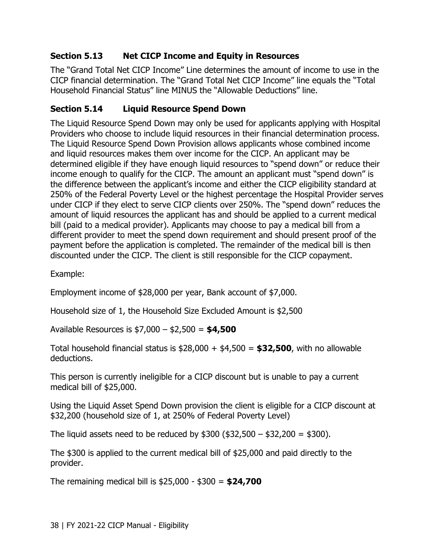#### **Section 5.13 Net CICP Income and Equity in Resources**

The "Grand Total Net CICP Income" Line determines the amount of income to use in the CICP financial determination. The "Grand Total Net CICP Income" line equals the "Total Household Financial Status" line MINUS the "Allowable Deductions" line.

#### **Section 5.14 Liquid Resource Spend Down**

 The Liquid Resource Spend Down may only be used for applicants applying with Hospital under CICP if they elect to serve CICP clients over 250%. The "spend down" reduces the amount of liquid resources the applicant has and should be applied to a current medical Providers who choose to include liquid resources in their financial determination process. The Liquid Resource Spend Down Provision allows applicants whose combined income and liquid resources makes them over income for the CICP. An applicant may be determined eligible if they have enough liquid resources to "spend down" or reduce their income enough to qualify for the CICP. The amount an applicant must "spend down" is the difference between the applicant's income and either the CICP eligibility standard at 250% of the Federal Poverty Level or the highest percentage the Hospital Provider serves bill (paid to a medical provider). Applicants may choose to pay a medical bill from a different provider to meet the spend down requirement and should present proof of the payment before the application is completed. The remainder of the medical bill is then discounted under the CICP. The client is still responsible for the CICP copayment.

Example:

Employment income of \$28,000 per year, Bank account of \$7,000.

Household size of 1, the Household Size Excluded Amount is \$2,500

Available Resources is \$7,000 – \$2,500 = **\$4,500**

Total household financial status is \$28,000 + \$4,500 = **\$32,500**, with no allowable deductions.

This person is currently ineligible for a CICP discount but is unable to pay a current medical bill of \$25,000.

Using the Liquid Asset Spend Down provision the client is eligible for a CICP discount at \$32,200 (household size of 1, at 250% of Federal Poverty Level)

The liquid assets need to be reduced by  $$300 ($32,500 - $32,200 = $300)$ .

The \$300 is applied to the current medical bill of \$25,000 and paid directly to the provider.

The remaining medical bill is \$25,000 - \$300 = **\$24,700**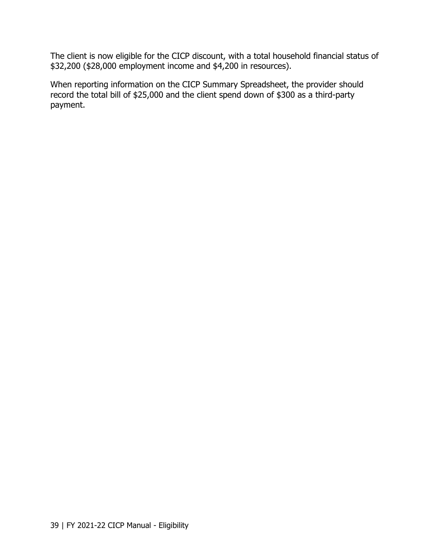The client is now eligible for the CICP discount, with a total household financial status of \$32,200 (\$28,000 employment income and \$4,200 in resources).

When reporting information on the CICP Summary Spreadsheet, the provider should record the total bill of \$25,000 and the client spend down of \$300 as a third-party payment.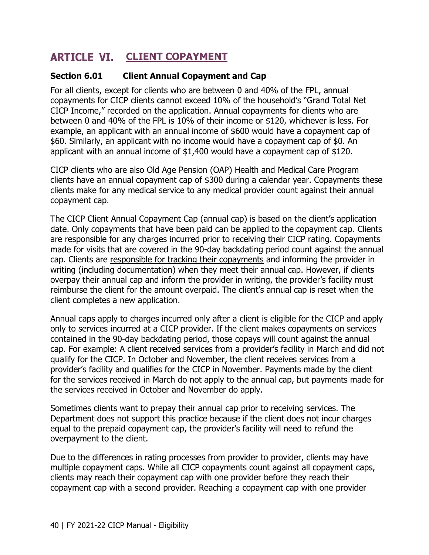## **ARTICLE VI. CLIENT COPAYMENT**

#### **Section 6.01 Client Annual Copayment and Cap**

 CICP Income," recorded on the application. Annual copayments for clients who are For all clients, except for clients who are between 0 and 40% of the FPL, annual copayments for CICP clients cannot exceed 10% of the household's "Grand Total Net between 0 and 40% of the FPL is 10% of their income or \$120, whichever is less. For example, an applicant with an annual income of \$600 would have a copayment cap of \$60. Similarly, an applicant with no income would have a copayment cap of \$0. An applicant with an annual income of \$1,400 would have a copayment cap of \$120.

CICP clients who are also Old Age Pension (OAP) Health and Medical Care Program clients have an annual copayment cap of \$300 during a calendar year. Copayments these clients make for any medical service to any medical provider count against their annual copayment cap.

 The CICP Client Annual Copayment Cap (annual cap) is based on the client's application writing (including documentation) when they meet their annual cap. However, if clients date. Only copayments that have been paid can be applied to the copayment cap. Clients are responsible for any charges incurred prior to receiving their CICP rating. Copayments made for visits that are covered in the 90-day backdating period count against the annual cap. Clients are responsible for tracking their copayments and informing the provider in overpay their annual cap and inform the provider in writing, the provider's facility must reimburse the client for the amount overpaid. The client's annual cap is reset when the client completes a new application.

 the services received in October and November do apply. Annual caps apply to charges incurred only after a client is eligible for the CICP and apply only to services incurred at a CICP provider. If the client makes copayments on services contained in the 90-day backdating period, those copays will count against the annual cap. For example: A client received services from a provider's facility in March and did not qualify for the CICP. In October and November, the client receives services from a provider's facility and qualifies for the CICP in November. Payments made by the client for the services received in March do not apply to the annual cap, but payments made for

Sometimes clients want to prepay their annual cap prior to receiving services. The Department does not support this practice because if the client does not incur charges equal to the prepaid copayment cap, the provider's facility will need to refund the overpayment to the client.

Due to the differences in rating processes from provider to provider, clients may have multiple copayment caps. While all CICP copayments count against all copayment caps, clients may reach their copayment cap with one provider before they reach their copayment cap with a second provider. Reaching a copayment cap with one provider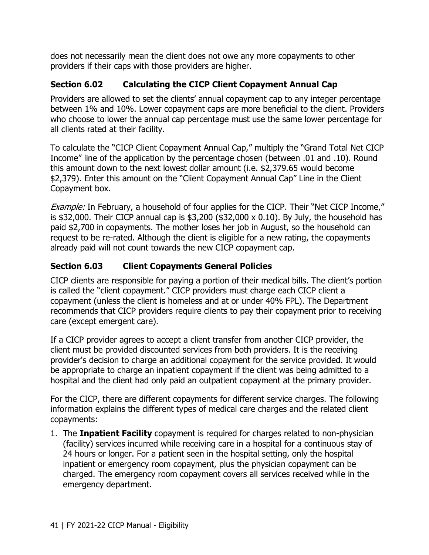providers if their caps with those providers are higher. does not necessarily mean the client does not owe any more copayments to other

#### **Section 6.02 Calculating the CICP Client Copayment Annual Cap**

Providers are allowed to set the clients' annual copayment cap to any integer percentage between 1% and 10%. Lower copayment caps are more beneficial to the client. Providers who choose to lower the annual cap percentage must use the same lower percentage for all clients rated at their facility.

 \$2,379). Enter this amount on the "Client Copayment Annual Cap" Line in the Client Copayment box. To calculate the "CICP Client Copayment Annual Cap," multiply the "Grand Total Net CICP Income" line of the application by the percentage chosen (between .01 and .10). Round this amount down to the next lowest dollar amount (i.e. \$2,379.65 would become

Example: In February, a household of four applies for the CICP. Their "Net CICP Income," is \$32,000. Their CICP annual cap is \$3,200 (\$32,000  $\times$  0.10). By July, the household has paid \$2,700 in copayments. The mother loses her job in August, so the household can request to be re-rated. Although the client is eligible for a new rating, the copayments already paid will not count towards the new CICP copayment cap.

#### **Section 6.03 Client Copayments General Policies**

 CICP clients are responsible for paying a portion of their medical bills. The client's portion recommends that CICP providers require clients to pay their copayment prior to receiving is called the "client copayment." CICP providers must charge each CICP client a copayment (unless the client is homeless and at or under 40% FPL). The Department care (except emergent care).

 provider's decision to charge an additional copayment for the service provided. It would If a CICP provider agrees to accept a client transfer from another CICP provider, the client must be provided discounted services from both providers. It is the receiving be appropriate to charge an inpatient copayment if the client was being admitted to a hospital and the client had only paid an outpatient copayment at the primary provider.

For the CICP, there are different copayments for different service charges. The following information explains the different types of medical care charges and the related client copayments:

1. The **Inpatient Facility** copayment is required for charges related to non-physician (facility) services incurred while receiving care in a hospital for a continuous stay of 24 hours or longer. For a patient seen in the hospital setting, only the hospital inpatient or emergency room copayment, plus the physician copayment can be charged. The emergency room copayment covers all services received while in the emergency department.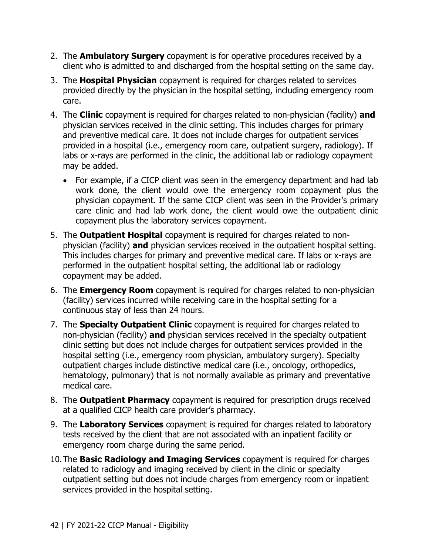- 2. The **Ambulatory Surgery** copayment is for operative procedures received by a client who is admitted to and discharged from the hospital setting on the same day.
- 3. The **Hospital Physician** copayment is required for charges related to services provided directly by the physician in the hospital setting, including emergency room care.
- 4. The **Clinic** copayment is required for charges related to non-physician (facility) **and** physician services received in the clinic setting. This includes charges for primary and preventive medical care. It does not include charges for outpatient services provided in a hospital (i.e., emergency room care, outpatient surgery, radiology). If labs or x-rays are performed in the clinic, the additional lab or radiology copayment may be added.
	- work done, the client would owe the emergency room copayment plus the physician copayment. If the same CICP client was seen in the Provider's primary care clinic and had lab work done, the client would owe the outpatient clinic • For example, if a CICP client was seen in the emergency department and had lab copayment plus the laboratory services copayment.
- 5. The **Outpatient Hospital** copayment is required for charges related to nonphysician (facility) **and** physician services received in the outpatient hospital setting. This includes charges for primary and preventive medical care. If labs or x-rays are performed in the outpatient hospital setting, the additional lab or radiology copayment may be added.
- 6. The **Emergency Room** copayment is required for charges related to non-physician (facility) services incurred while receiving care in the hospital setting for a continuous stay of less than 24 hours.
- 7. The **Specialty Outpatient Clinic** copayment is required for charges related to non-physician (facility) **and** physician services received in the specialty outpatient clinic setting but does not include charges for outpatient services provided in the hospital setting (i.e., emergency room physician, ambulatory surgery). Specialty outpatient charges include distinctive medical care (i.e., oncology, orthopedics, hematology, pulmonary) that is not normally available as primary and preventative medical care.
- 8. The **Outpatient Pharmacy** copayment is required for prescription drugs received at a qualified CICP health care provider's pharmacy.
- emergency room charge during the same period. 9. The **Laboratory Services** copayment is required for charges related to laboratory tests received by the client that are not associated with an inpatient facility or
- services provided in the hospital setting. 10.The **Basic Radiology and Imaging Services** copayment is required for charges related to radiology and imaging received by client in the clinic or specialty outpatient setting but does not include charges from emergency room or inpatient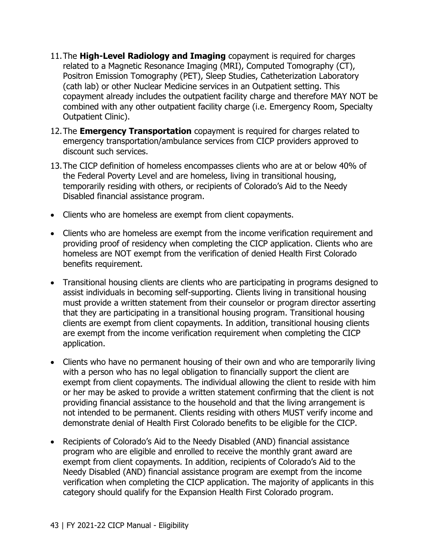- 11.The **High-Level Radiology and Imaging** copayment is required for charges related to a Magnetic Resonance Imaging (MRI), Computed Tomography (CT), Positron Emission Tomography (PET), Sleep Studies, Catheterization Laboratory (cath lab) or other Nuclear Medicine services in an Outpatient setting. This copayment already includes the outpatient facility charge and therefore MAY NOT be combined with any other outpatient facility charge (i.e. Emergency Room, Specialty Outpatient Clinic).
- 12.The **Emergency Transportation** copayment is required for charges related to emergency transportation/ambulance services from CICP providers approved to discount such services.
- the Federal Poverty Level and are homeless, living in transitional housing, 13.The CICP definition of homeless encompasses clients who are at or below 40% of temporarily residing with others, or recipients of Colorado's Aid to the Needy Disabled financial assistance program.
- Clients who are homeless are exempt from client copayments.
- Clients who are homeless are exempt from the income verification requirement and providing proof of residency when completing the CICP application. Clients who are homeless are NOT exempt from the verification of denied Health First Colorado benefits requirement.
- Transitional housing clients are clients who are participating in programs designed to assist individuals in becoming self-supporting. Clients living in transitional housing must provide a written statement from their counselor or program director asserting that they are participating in a transitional housing program. Transitional housing clients are exempt from client copayments. In addition, transitional housing clients are exempt from the income verification requirement when completing the CICP application.
- demonstrate denial of Health First Colorado benefits to be eligible for the CICP. • Clients who have no permanent housing of their own and who are temporarily living with a person who has no legal obligation to financially support the client are exempt from client copayments. The individual allowing the client to reside with him or her may be asked to provide a written statement confirming that the client is not providing financial assistance to the household and that the living arrangement is not intended to be permanent. Clients residing with others MUST verify income and
- category should qualify for the Expansion Health First Colorado program. Recipients of Colorado's Aid to the Needy Disabled (AND) financial assistance program who are eligible and enrolled to receive the monthly grant award are exempt from client copayments. In addition, recipients of Colorado's Aid to the Needy Disabled (AND) financial assistance program are exempt from the income verification when completing the CICP application. The majority of applicants in this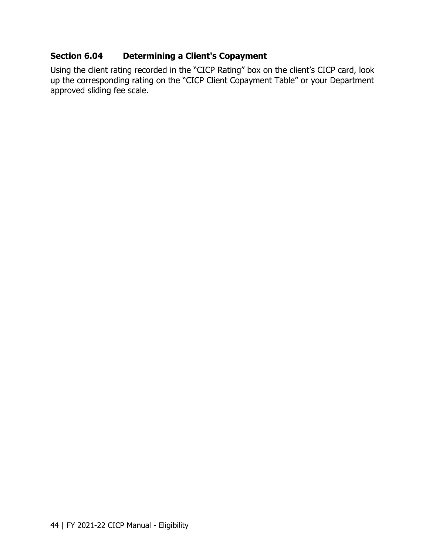#### **Section 6.04 Determining a Client's Copayment**

Using the client rating recorded in the "CICP Rating" box on the client's CICP card, look up the corresponding rating on the "CICP Client Copayment Table" or your Department approved sliding fee scale.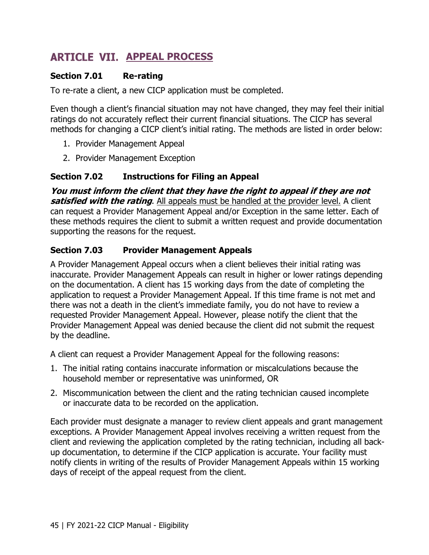## **ARTICLE VII. APPEAL PROCESS**

#### **Section 7.01 Re-rating**

To re-rate a client, a new CICP application must be completed.

Even though a client's financial situation may not have changed, they may feel their initial ratings do not accurately reflect their current financial situations. The CICP has several methods for changing a CICP client's initial rating. The methods are listed in order below:

- 1. Provider Management Appeal
- 2. Provider Management Exception

#### **Section 7.02 Instructions for Filing an Appeal**

**You must inform the client that they have the right to appeal if they are not satisfied with the rating**. All appeals must be handled at the provider level. A client can request a Provider Management Appeal and/or Exception in the same letter. Each of these methods requires the client to submit a written request and provide documentation supporting the reasons for the request.

#### **Section 7.03 Provider Management Appeals**

A Provider Management Appeal occurs when a client believes their initial rating was inaccurate. Provider Management Appeals can result in higher or lower ratings depending on the documentation. A client has 15 working days from the date of completing the application to request a Provider Management Appeal. If this time frame is not met and there was not a death in the client's immediate family, you do not have to review a requested Provider Management Appeal. However, please notify the client that the Provider Management Appeal was denied because the client did not submit the request by the deadline.

A client can request a Provider Management Appeal for the following reasons:

- 1. The initial rating contains inaccurate information or miscalculations because the household member or representative was uninformed, OR
- 2. Miscommunication between the client and the rating technician caused incomplete or inaccurate data to be recorded on the application.

 up documentation, to determine if the CICP application is accurate. Your facility must days of receipt of the appeal request from the client. Each provider must designate a manager to review client appeals and grant management exceptions. A Provider Management Appeal involves receiving a written request from the client and reviewing the application completed by the rating technician, including all backnotify clients in writing of the results of Provider Management Appeals within 15 working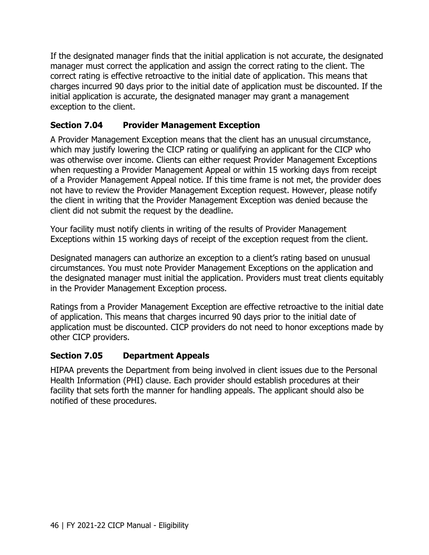If the designated manager finds that the initial application is not accurate, the designated manager must correct the application and assign the correct rating to the client. The correct rating is effective retroactive to the initial date of application. This means that charges incurred 90 days prior to the initial date of application must be discounted. If the initial application is accurate, the designated manager may grant a management exception to the client.

#### **Section 7.04 Provider Management Exception**

A Provider Management Exception means that the client has an unusual circumstance, which may justify lowering the CICP rating or qualifying an applicant for the CICP who was otherwise over income. Clients can either request Provider Management Exceptions when requesting a Provider Management Appeal or within 15 working days from receipt of a Provider Management Appeal notice. If this time frame is not met, the provider does not have to review the Provider Management Exception request. However, please notify the client in writing that the Provider Management Exception was denied because the client did not submit the request by the deadline.

 Exceptions within 15 working days of receipt of the exception request from the client. Your facility must notify clients in writing of the results of Provider Management

Designated managers can authorize an exception to a client's rating based on unusual circumstances. You must note Provider Management Exceptions on the application and the designated manager must initial the application. Providers must treat clients equitably in the Provider Management Exception process.

Ratings from a Provider Management Exception are effective retroactive to the initial date of application. This means that charges incurred 90 days prior to the initial date of application must be discounted. CICP providers do not need to honor exceptions made by other CICP providers.

#### **Section 7.05 Department Appeals**

HIPAA prevents the Department from being involved in client issues due to the Personal Health Information (PHI) clause. Each provider should establish procedures at their facility that sets forth the manner for handling appeals. The applicant should also be notified of these procedures.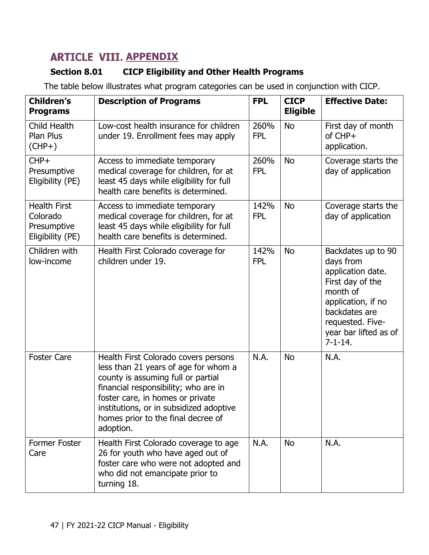## **ARTICLE VIII. APPENDIX**

#### **Section 8.01 CICP Eligibility and Other Health Programs**

The table below illustrates what program categories can be used in conjunction with CICP.

| <b>Children's</b><br><b>Programs</b>                               | <b>Description of Programs</b>                                                                                                                                                                                                                                                               | <b>FPL</b>         | <b>CICP</b><br><b>Eligible</b> | <b>Effective Date:</b>                                                                                                                                                                     |
|--------------------------------------------------------------------|----------------------------------------------------------------------------------------------------------------------------------------------------------------------------------------------------------------------------------------------------------------------------------------------|--------------------|--------------------------------|--------------------------------------------------------------------------------------------------------------------------------------------------------------------------------------------|
| Child Health<br><b>Plan Plus</b><br>$(CHP+)$                       | Low-cost health insurance for children<br>under 19. Enrollment fees may apply                                                                                                                                                                                                                | 260%<br><b>FPL</b> | <b>No</b>                      | First day of month<br>of CHP+<br>application.                                                                                                                                              |
| $CHP+$<br>Presumptive<br>Eligibility (PE)                          | Access to immediate temporary<br>medical coverage for children, for at<br>least 45 days while eligibility for full<br>health care benefits is determined.                                                                                                                                    | 260%<br><b>FPL</b> | <b>No</b>                      | Coverage starts the<br>day of application                                                                                                                                                  |
| <b>Health First</b><br>Colorado<br>Presumptive<br>Eligibility (PE) | Access to immediate temporary<br>medical coverage for children, for at<br>least 45 days while eligibility for full<br>health care benefits is determined.                                                                                                                                    | 142%<br><b>FPL</b> | <b>No</b>                      | Coverage starts the<br>day of application                                                                                                                                                  |
| Children with<br>low-income                                        | Health First Colorado coverage for<br>children under 19.                                                                                                                                                                                                                                     | 142%<br><b>FPL</b> | <b>No</b>                      | Backdates up to 90<br>days from<br>application date.<br>First day of the<br>month of<br>application, if no<br>backdates are<br>requested. Five-<br>year bar lifted as of<br>$7 - 1 - 14$ . |
| <b>Foster Care</b>                                                 | Health First Colorado covers persons<br>less than 21 years of age for whom a<br>county is assuming full or partial<br>financial responsibility; who are in<br>foster care, in homes or private<br>institutions, or in subsidized adoptive<br>homes prior to the final decree of<br>adoption. | N.A.               | <b>No</b>                      | N.A.                                                                                                                                                                                       |
| <b>Former Foster</b><br>Care                                       | Health First Colorado coverage to age<br>26 for youth who have aged out of<br>foster care who were not adopted and<br>who did not emancipate prior to<br>turning 18.                                                                                                                         | N.A.               | <b>No</b>                      | N.A.                                                                                                                                                                                       |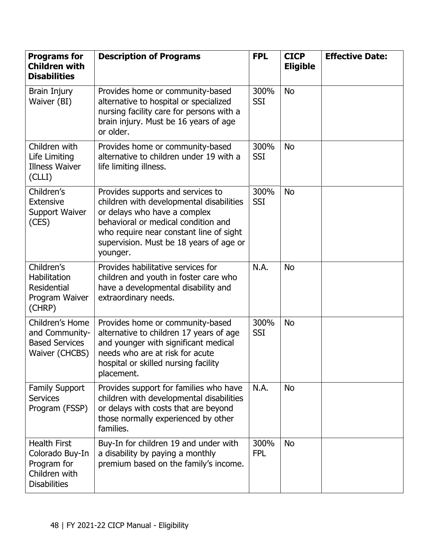| <b>Programs for</b><br><b>Children with</b><br><b>Disabilities</b>                            | <b>Description of Programs</b>                                                                                                                                                                                                                         | <b>FPL</b>         | <b>CICP</b><br><b>Eligible</b> | <b>Effective Date:</b> |
|-----------------------------------------------------------------------------------------------|--------------------------------------------------------------------------------------------------------------------------------------------------------------------------------------------------------------------------------------------------------|--------------------|--------------------------------|------------------------|
| Brain Injury<br>Waiver (BI)                                                                   | Provides home or community-based<br>alternative to hospital or specialized<br>nursing facility care for persons with a<br>brain injury. Must be 16 years of age<br>or older.                                                                           | 300%<br><b>SSI</b> | <b>No</b>                      |                        |
| Children with<br>Life Limiting<br><b>Illness Waiver</b><br>(CLLI)                             | Provides home or community-based<br>alternative to children under 19 with a<br>life limiting illness.                                                                                                                                                  | 300%<br><b>SSI</b> | <b>No</b>                      |                        |
| Children's<br><b>Extensive</b><br><b>Support Waiver</b><br>(CES)                              | Provides supports and services to<br>children with developmental disabilities<br>or delays who have a complex<br>behavioral or medical condition and<br>who require near constant line of sight<br>supervision. Must be 18 years of age or<br>younger. | 300%<br><b>SSI</b> | <b>No</b>                      |                        |
| Children's<br>Habilitation<br>Residential<br>Program Waiver<br>(CHRP)                         | Provides habilitative services for<br>children and youth in foster care who<br>have a developmental disability and<br>extraordinary needs.                                                                                                             | N.A.               | <b>No</b>                      |                        |
| Children's Home<br>and Community-<br><b>Based Services</b><br>Waiver (CHCBS)                  | Provides home or community-based<br>alternative to children 17 years of age<br>and younger with significant medical<br>needs who are at risk for acute<br>hospital or skilled nursing facility<br>placement.                                           | 300%<br><b>SSI</b> | <b>No</b>                      |                        |
| <b>Family Support</b><br><b>Services</b><br>Program (FSSP)                                    | Provides support for families who have<br>children with developmental disabilities<br>or delays with costs that are beyond<br>those normally experienced by other<br>families.                                                                         | N.A.               | <b>No</b>                      |                        |
| <b>Health First</b><br>Colorado Buy-In<br>Program for<br>Children with<br><b>Disabilities</b> | Buy-In for children 19 and under with<br>a disability by paying a monthly<br>premium based on the family's income.                                                                                                                                     | 300%<br><b>FPL</b> | <b>No</b>                      |                        |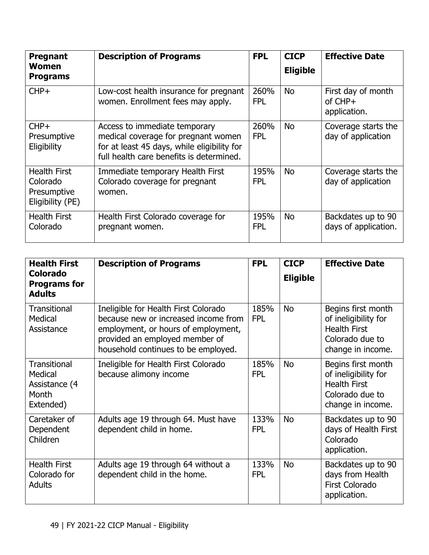| <b>Pregnant</b><br><b>Women</b>                                    | <b>Description of Programs</b>                                                                                                                                  | <b>FPL</b>         | <b>CICP</b>     | <b>Effective Date</b>                              |
|--------------------------------------------------------------------|-----------------------------------------------------------------------------------------------------------------------------------------------------------------|--------------------|-----------------|----------------------------------------------------|
| <b>Programs</b>                                                    |                                                                                                                                                                 |                    | <b>Eligible</b> |                                                    |
| $CHP+$                                                             | Low-cost health insurance for pregnant<br>women. Enrollment fees may apply.                                                                                     | 260%<br><b>FPL</b> | <b>No</b>       | First day of month<br>$of$ CHP $+$<br>application. |
| $CHP+$<br>Presumptive<br>Eligibility                               | Access to immediate temporary<br>medical coverage for pregnant women<br>for at least 45 days, while eligibility for<br>full health care benefits is determined. | 260%<br><b>FPL</b> | <b>No</b>       | Coverage starts the<br>day of application          |
| <b>Health First</b><br>Colorado<br>Presumptive<br>Eligibility (PE) | Immediate temporary Health First<br>Colorado coverage for pregnant<br>women.                                                                                    | 195%<br><b>FPL</b> | <b>No</b>       | Coverage starts the<br>day of application          |
| <b>Health First</b><br>Colorado                                    | Health First Colorado coverage for<br>pregnant women.                                                                                                           | 195%<br><b>FPL</b> | <b>No</b>       | Backdates up to 90<br>days of application.         |

| <b>Health First</b><br><b>Colorado</b><br><b>Programs for</b><br><b>Adults</b> | <b>Description of Programs</b>                                                                                                                                                               | <b>FPL</b>         | <b>CICP</b><br><b>Eligible</b> | <b>Effective Date</b>                                                                                     |
|--------------------------------------------------------------------------------|----------------------------------------------------------------------------------------------------------------------------------------------------------------------------------------------|--------------------|--------------------------------|-----------------------------------------------------------------------------------------------------------|
| Transitional<br>Medical<br>Assistance                                          | Ineligible for Health First Colorado<br>because new or increased income from<br>employment, or hours of employment,<br>provided an employed member of<br>household continues to be employed. | 185%<br><b>FPL</b> | <b>No</b>                      | Begins first month<br>of ineligibility for<br><b>Health First</b><br>Colorado due to<br>change in income. |
| <b>Transitional</b><br>Medical<br>Assistance (4<br>Month<br>Extended)          | Ineligible for Health First Colorado<br>because alimony income                                                                                                                               | 185%<br><b>FPL</b> | <b>No</b>                      | Begins first month<br>of ineligibility for<br><b>Health First</b><br>Colorado due to<br>change in income. |
| Caretaker of<br>Dependent<br>Children                                          | Adults age 19 through 64. Must have<br>dependent child in home.                                                                                                                              | 133%<br><b>FPL</b> | <b>No</b>                      | Backdates up to 90<br>days of Health First<br>Colorado<br>application.                                    |
| <b>Health First</b><br>Colorado for<br><b>Adults</b>                           | Adults age 19 through 64 without a<br>dependent child in the home.                                                                                                                           | 133%<br><b>FPL</b> | <b>No</b>                      | Backdates up to 90<br>days from Health<br><b>First Colorado</b><br>application.                           |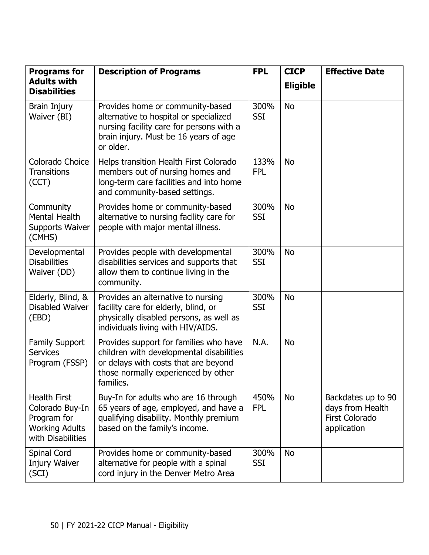| <b>Programs for</b>                                                                                 | <b>Description of Programs</b>                                                                                                                                                 | <b>FPL</b>         | <b>CICP</b>     | <b>Effective Date</b>                                                          |
|-----------------------------------------------------------------------------------------------------|--------------------------------------------------------------------------------------------------------------------------------------------------------------------------------|--------------------|-----------------|--------------------------------------------------------------------------------|
| <b>Adults with</b><br><b>Disabilities</b>                                                           |                                                                                                                                                                                |                    | <b>Eligible</b> |                                                                                |
| Brain Injury<br>Waiver (BI)                                                                         | Provides home or community-based<br>alternative to hospital or specialized<br>nursing facility care for persons with a<br>brain injury. Must be 16 years of age<br>or older.   | 300%<br><b>SSI</b> | <b>No</b>       |                                                                                |
| Colorado Choice<br><b>Transitions</b><br>(CCT)                                                      | Helps transition Health First Colorado<br>members out of nursing homes and<br>long-term care facilities and into home<br>and community-based settings.                         | 133%<br><b>FPL</b> | <b>No</b>       |                                                                                |
| Community<br>Mental Health<br><b>Supports Waiver</b><br>(CMHS)                                      | Provides home or community-based<br>alternative to nursing facility care for<br>people with major mental illness.                                                              | 300%<br><b>SSI</b> | <b>No</b>       |                                                                                |
| Developmental<br><b>Disabilities</b><br>Waiver (DD)                                                 | Provides people with developmental<br>disabilities services and supports that<br>allow them to continue living in the<br>community.                                            | 300%<br><b>SSI</b> | <b>No</b>       |                                                                                |
| Elderly, Blind, &<br>Disabled Waiver<br>(EBD)                                                       | Provides an alternative to nursing<br>facility care for elderly, blind, or<br>physically disabled persons, as well as<br>individuals living with HIV/AIDS.                     | 300%<br><b>SSI</b> | <b>No</b>       |                                                                                |
| <b>Family Support</b><br><b>Services</b><br>Program (FSSP)                                          | Provides support for families who have<br>children with developmental disabilities<br>or delays with costs that are beyond<br>those normally experienced by other<br>families. | N.A.               | <b>No</b>       |                                                                                |
| <b>Health First</b><br>Colorado Buy-In<br>Program for<br><b>Working Adults</b><br>with Disabilities | Buy-In for adults who are 16 through<br>65 years of age, employed, and have a<br>qualifying disability. Monthly premium<br>based on the family's income.                       | 450%<br><b>FPL</b> | <b>No</b>       | Backdates up to 90<br>days from Health<br><b>First Colorado</b><br>application |
| Spinal Cord<br><b>Injury Waiver</b><br>(SCI)                                                        | Provides home or community-based<br>alternative for people with a spinal<br>cord injury in the Denver Metro Area                                                               | 300%<br><b>SSI</b> | <b>No</b>       |                                                                                |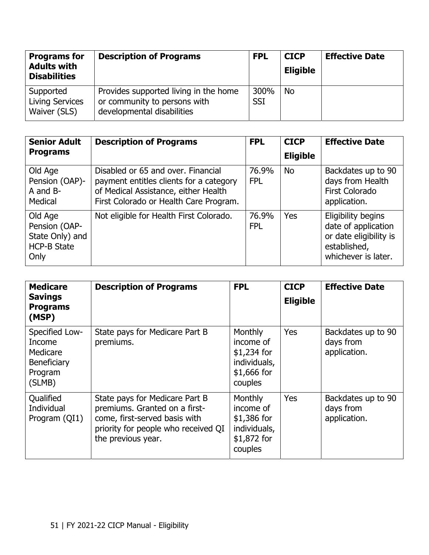| <b>Programs for</b><br><b>Adults with</b><br><b>Disabilities</b> | <b>Description of Programs</b>                                                                      | <b>FPL</b>         | <b>CICP</b><br><b>Eligible</b> | <b>Effective Date</b> |
|------------------------------------------------------------------|-----------------------------------------------------------------------------------------------------|--------------------|--------------------------------|-----------------------|
| Supported<br><b>Living Services</b><br>Waiver (SLS)              | Provides supported living in the home<br>or community to persons with<br>developmental disabilities | 300%<br><b>SSI</b> | <b>No</b>                      |                       |

| <b>Senior Adult</b><br><b>Programs</b>                                    | <b>Description of Programs</b>                                                                                                                                  | <b>FPL</b>          | <b>CICP</b><br><b>Eligible</b> | <b>Effective Date</b>                                                                                      |
|---------------------------------------------------------------------------|-----------------------------------------------------------------------------------------------------------------------------------------------------------------|---------------------|--------------------------------|------------------------------------------------------------------------------------------------------------|
| Old Age<br>Pension (OAP)-<br>A and B-<br>Medical                          | Disabled or 65 and over. Financial<br>payment entitles clients for a category<br>of Medical Assistance, either Health<br>First Colorado or Health Care Program. | 76.9%<br><b>FPL</b> | <b>No</b>                      | Backdates up to 90<br>days from Health<br><b>First Colorado</b><br>application.                            |
| Old Age<br>Pension (OAP-<br>State Only) and<br><b>HCP-B State</b><br>Only | Not eligible for Health First Colorado.                                                                                                                         | 76.9%<br><b>FPL</b> | Yes                            | Eligibility begins<br>date of application<br>or date eligibility is<br>established,<br>whichever is later. |

| <b>Medicare</b><br><b>Savings</b><br><b>Programs</b><br>(MSP)            | <b>Description of Programs</b>                                                                                                                                | <b>FPL</b>                                                                            | <b>CICP</b><br><b>Eligible</b> | <b>Effective Date</b>                           |
|--------------------------------------------------------------------------|---------------------------------------------------------------------------------------------------------------------------------------------------------------|---------------------------------------------------------------------------------------|--------------------------------|-------------------------------------------------|
| Specified Low-<br>Income<br>Medicare<br>Beneficiary<br>Program<br>(SLMB) | State pays for Medicare Part B<br>premiums.                                                                                                                   | <b>Monthly</b><br>income of<br>$$1,234$ for<br>individuals,<br>\$1,666 for<br>couples | Yes                            | Backdates up to 90<br>days from<br>application. |
| Qualified<br>Individual<br>Program (QI1)                                 | State pays for Medicare Part B<br>premiums. Granted on a first-<br>come, first-served basis with<br>priority for people who received QI<br>the previous year. | <b>Monthly</b><br>income of<br>$$1,386$ for<br>individuals,<br>\$1,872 for<br>couples | Yes                            | Backdates up to 90<br>days from<br>application. |